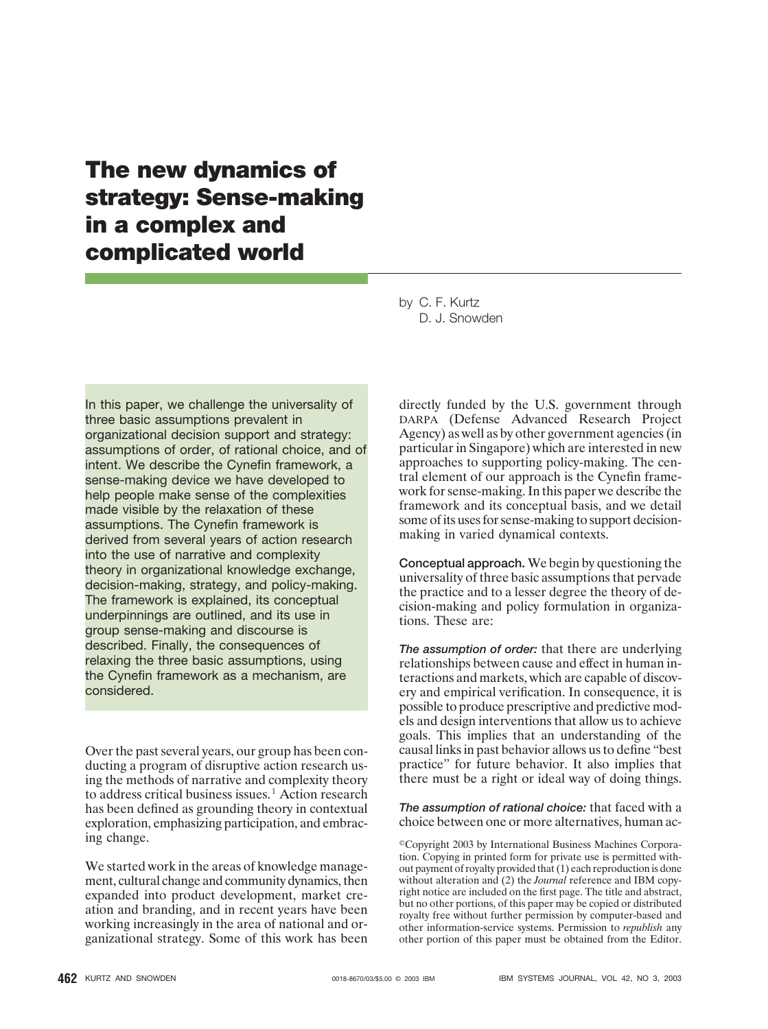# **The new dynamics of strategy: Sense-making in a complex and complicated world**

In this paper, we challenge the universality of three basic assumptions prevalent in organizational decision support and strategy: assumptions of order, of rational choice, and of intent. We describe the Cynefin framework, a sense-making device we have developed to help people make sense of the complexities made visible by the relaxation of these assumptions. The Cynefin framework is derived from several years of action research into the use of narrative and complexity theory in organizational knowledge exchange, decision-making, strategy, and policy-making. The framework is explained, its conceptual underpinnings are outlined, and its use in group sense-making and discourse is described. Finally, the consequences of relaxing the three basic assumptions, using the Cynefin framework as a mechanism, are considered.

Over the past several years, our group has been conducting a program of disruptive action research using the methods of narrative and complexity theory to address critical business issues.<sup>1</sup> Action research has been defined as grounding theory in contextual exploration, emphasizing participation, and embracing change.

We started work in the areas of knowledge management, cultural change and community dynamics, then expanded into product development, market creation and branding, and in recent years have been working increasingly in the area of national and organizational strategy. Some of this work has been by C. F. Kurtz D. J. Snowden

directly funded by the U.S. government through DARPA (Defense Advanced Research Project Agency) as well as by other government agencies (in particular in Singapore) which are interested in new approaches to supporting policy-making. The central element of our approach is the Cynefin framework for sense-making. In this paper we describe the framework and its conceptual basis, and we detail some of its uses for sense-making to support decisionmaking in varied dynamical contexts.

**Conceptual approach.** We begin by questioning the universality of three basic assumptions that pervade the practice and to a lesser degree the theory of decision-making and policy formulation in organizations. These are:

*The assumption of order:* that there are underlying relationships between cause and effect in human interactions and markets, which are capable of discovery and empirical verification. In consequence, it is possible to produce prescriptive and predictive models and design interventions that allow us to achieve goals. This implies that an understanding of the causal links in past behavior allows us to define "best practice" for future behavior. It also implies that there must be a right or ideal way of doing things.

*The assumption of rational choice:* that faced with a choice between one or more alternatives, human ac-

Copyright 2003 by International Business Machines Corporation. Copying in printed form for private use is permitted without payment of royalty provided that (1) each reproduction is done without alteration and (2) the *Journal* reference and IBM copyright notice are included on the first page. The title and abstract, but no other portions, of this paper may be copied or distributed royalty free without further permission by computer-based and other information-service systems. Permission to *republish* any other portion of this paper must be obtained from the Editor.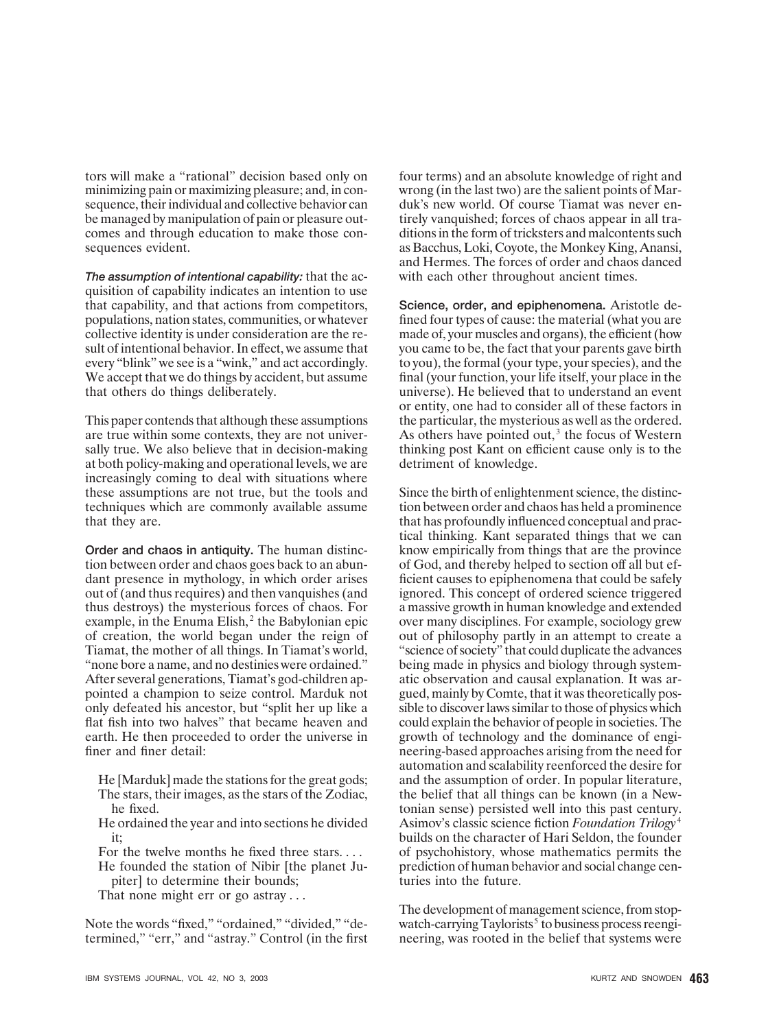tors will make a "rational" decision based only on minimizing pain or maximizing pleasure; and, in consequence, their individual and collective behavior can be managed by manipulation of pain or pleasure outcomes and through education to make those consequences evident.

*The assumption of intentional capability:* that the acquisition of capability indicates an intention to use that capability, and that actions from competitors, populations, nation states, communities, or whatever collective identity is under consideration are the result of intentional behavior. In effect, we assume that every "blink" we see is a "wink," and act accordingly. We accept that we do things by accident, but assume that others do things deliberately.

This paper contends that although these assumptions are true within some contexts, they are not universally true. We also believe that in decision-making at both policy-making and operational levels, we are increasingly coming to deal with situations where these assumptions are not true, but the tools and techniques which are commonly available assume that they are.

**Order and chaos in antiquity.** The human distinction between order and chaos goes back to an abundant presence in mythology, in which order arises out of (and thus requires) and then vanquishes (and thus destroys) the mysterious forces of chaos. For example, in the Enuma Elish, $2$  the Babylonian epic of creation, the world began under the reign of Tiamat, the mother of all things. In Tiamat's world, "none bore a name, and no destinies were ordained." After several generations, Tiamat's god-children appointed a champion to seize control. Marduk not only defeated his ancestor, but "split her up like a flat fish into two halves" that became heaven and earth. He then proceeded to order the universe in finer and finer detail:

He [Marduk] made the stations for the great gods; The stars, their images, as the stars of the Zodiac, he fixed.

He ordained the year and into sections he divided it;

For the twelve months he fixed three stars....

He founded the station of Nibir [the planet Jupiter] to determine their bounds;

That none might err or go astray...

Note the words "fixed," "ordained," "divided," "determined," "err," and "astray." Control (in the first four terms) and an absolute knowledge of right and wrong (in the last two) are the salient points of Marduk's new world. Of course Tiamat was never entirely vanquished; forces of chaos appear in all traditions in the form of tricksters and malcontents such as Bacchus, Loki, Coyote, the Monkey King, Anansi, and Hermes. The forces of order and chaos danced with each other throughout ancient times.

**Science, order, and epiphenomena.** Aristotle defined four types of cause: the material (what you are made of, your muscles and organs), the efficient (how you came to be, the fact that your parents gave birth to you), the formal (your type, your species), and the final (your function, your life itself, your place in the universe). He believed that to understand an event or entity, one had to consider all of these factors in the particular, the mysterious as well as the ordered. As others have pointed out, $3$  the focus of Western thinking post Kant on efficient cause only is to the detriment of knowledge.

Since the birth of enlightenment science, the distinction between order and chaos has held a prominence that has profoundly influenced conceptual and practical thinking. Kant separated things that we can know empirically from things that are the province of God, and thereby helped to section off all but efficient causes to epiphenomena that could be safely ignored. This concept of ordered science triggered a massive growth in human knowledge and extended over many disciplines. For example, sociology grew out of philosophy partly in an attempt to create a "science of society" that could duplicate the advances being made in physics and biology through systematic observation and causal explanation. It was argued, mainly by Comte, that it was theoretically possible to discover laws similar to those of physics which could explain the behavior of people in societies. The growth of technology and the dominance of engineering-based approaches arising from the need for automation and scalability reenforced the desire for and the assumption of order. In popular literature, the belief that all things can be known (in a Newtonian sense) persisted well into this past century. Asimov's classic science fiction *Foundation Trilogy* <sup>4</sup> builds on the character of Hari Seldon, the founder of psychohistory, whose mathematics permits the prediction of human behavior and social change centuries into the future.

The development of management science, from stopwatch-carrying  $Taylorists^5$  to business process reengineering, was rooted in the belief that systems were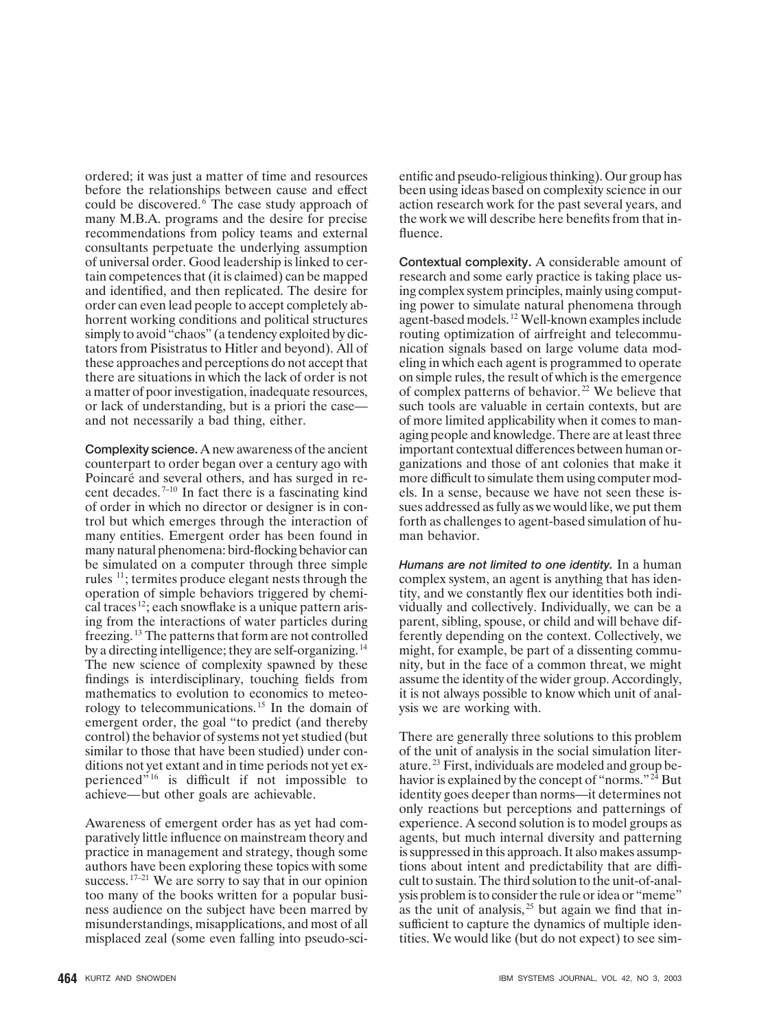ordered; it was just a matter of time and resources before the relationships between cause and effect could be discovered.<sup>6</sup> The case study approach of many M.B.A. programs and the desire for precise recommendations from policy teams and external consultants perpetuate the underlying assumption of universal order. Good leadership is linked to certain competences that (it is claimed) can be mapped and identified, and then replicated. The desire for order can even lead people to accept completely abhorrent working conditions and political structures simply to avoid "chaos" (a tendency exploited by dictators from Pisistratus to Hitler and beyond). All of these approaches and perceptions do not accept that there are situations in which the lack of order is not a matter of poor investigation, inadequate resources, or lack of understanding, but is a priori the case and not necessarily a bad thing, either.

**Complexity science.** A new awareness of the ancient counterpart to order began over a century ago with Poincaré and several others, and has surged in recent decades.<sup> $7-10$ </sup> In fact there is a fascinating kind of order in which no director or designer is in control but which emerges through the interaction of many entities. Emergent order has been found in many natural phenomena: bird-flocking behavior can be simulated on a computer through three simple rules 11; termites produce elegant nests through the operation of simple behaviors triggered by chemical traces 12; each snowflake is a unique pattern arising from the interactions of water particles during freezing. <sup>13</sup> The patterns that form are not controlled by a directing intelligence; they are self-organizing. <sup>14</sup> The new science of complexity spawned by these findings is interdisciplinary, touching fields from mathematics to evolution to economics to meteorology to telecommunications. <sup>15</sup> In the domain of emergent order, the goal "to predict (and thereby control) the behavior of systems not yet studied (but similar to those that have been studied) under conditions not yet extant and in time periods not yet experienced"<sup>16</sup> is difficult if not impossible to achieve—but other goals are achievable.

Awareness of emergent order has as yet had comparatively little influence on mainstream theory and practice in management and strategy, though some authors have been exploring these topics with some success.<sup>17-21</sup> We are sorry to say that in our opinion too many of the books written for a popular business audience on the subject have been marred by misunderstandings, misapplications, and most of all misplaced zeal (some even falling into pseudo-sci-

entific and pseudo-religious thinking). Our group has been using ideas based on complexity science in our action research work for the past several years, and the work we will describe here benefits from that influence.

**Contextual complexity.** A considerable amount of research and some early practice is taking place using complex system principles, mainly using computing power to simulate natural phenomena through agent-based models. <sup>12</sup> Well-known examples include routing optimization of airfreight and telecommunication signals based on large volume data modeling in which each agent is programmed to operate on simple rules, the result of which is the emergence of complex patterns of behavior. <sup>22</sup> We believe that such tools are valuable in certain contexts, but are of more limited applicability when it comes to managing people and knowledge. There are at least three important contextual differences between human organizations and those of ant colonies that make it more difficult to simulate them using computer models. In a sense, because we have not seen these issues addressed as fully as we would like, we put them forth as challenges to agent-based simulation of human behavior.

*Humans are not limited to one identity.* In a human complex system, an agent is anything that has identity, and we constantly flex our identities both individually and collectively. Individually, we can be a parent, sibling, spouse, or child and will behave differently depending on the context. Collectively, we might, for example, be part of a dissenting community, but in the face of a common threat, we might assume the identity of the wider group. Accordingly, it is not always possible to know which unit of analysis we are working with.

There are generally three solutions to this problem of the unit of analysis in the social simulation literature. <sup>23</sup> First, individuals are modeled and group behavior is explained by the concept of "norms."<sup>24</sup> But identity goes deeper than norms—it determines not only reactions but perceptions and patternings of experience. A second solution is to model groups as agents, but much internal diversity and patterning is suppressed in this approach. It also makes assumptions about intent and predictability that are difficult to sustain. The third solution to the unit-of-analysis problem is to consider the rule or idea or "meme" as the unit of analysis,  $2<sup>5</sup>$  but again we find that insufficient to capture the dynamics of multiple identities. We would like (but do not expect) to see sim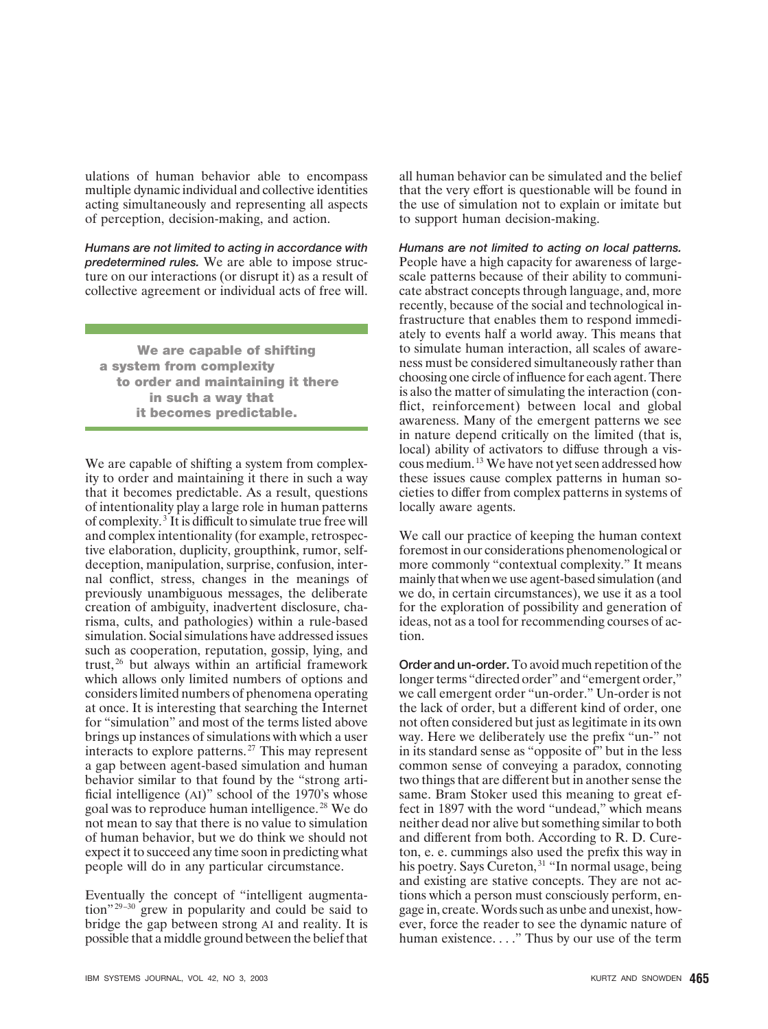ulations of human behavior able to encompass multiple dynamic individual and collective identities acting simultaneously and representing all aspects of perception, decision-making, and action.

*Humans are not limited to acting in accordance with predetermined rules.* We are able to impose structure on our interactions (or disrupt it) as a result of collective agreement or individual acts of free will.

**We are capable of shifting a system from complexity to order and maintaining it there in such a way that it becomes predictable.**

We are capable of shifting a system from complexity to order and maintaining it there in such a way that it becomes predictable. As a result, questions of intentionality play a large role in human patterns of complexity. <sup>3</sup> It is difficult to simulate true free will and complex intentionality (for example, retrospective elaboration, duplicity, groupthink, rumor, selfdeception, manipulation, surprise, confusion, internal conflict, stress, changes in the meanings of previously unambiguous messages, the deliberate creation of ambiguity, inadvertent disclosure, charisma, cults, and pathologies) within a rule-based simulation. Social simulations have addressed issues such as cooperation, reputation, gossip, lying, and trust, <sup>26</sup> but always within an artificial framework which allows only limited numbers of options and considers limited numbers of phenomena operating at once. It is interesting that searching the Internet for "simulation" and most of the terms listed above brings up instances of simulations with which a user interacts to explore patterns. <sup>27</sup> This may represent a gap between agent-based simulation and human behavior similar to that found by the "strong artificial intelligence (AI)" school of the 1970's whose goal was to reproduce human intelligence. <sup>28</sup> We do not mean to say that there is no value to simulation of human behavior, but we do think we should not expect it to succeed any time soon in predicting what people will do in any particular circumstance.

Eventually the concept of "intelligent augmenta- $\frac{1}{2}$  tion"<sup>29–30</sup> grew in popularity and could be said to bridge the gap between strong AI and reality. It is possible that a middle ground between the belief that all human behavior can be simulated and the belief that the very effort is questionable will be found in the use of simulation not to explain or imitate but to support human decision-making.

*Humans are not limited to acting on local patterns.* People have a high capacity for awareness of largescale patterns because of their ability to communicate abstract concepts through language, and, more recently, because of the social and technological infrastructure that enables them to respond immediately to events half a world away. This means that to simulate human interaction, all scales of awareness must be considered simultaneously rather than choosing one circle of influence for each agent. There is also the matter of simulating the interaction (conflict, reinforcement) between local and global awareness. Many of the emergent patterns we see in nature depend critically on the limited (that is, local) ability of activators to diffuse through a viscous medium. <sup>13</sup> We have not yet seen addressed how these issues cause complex patterns in human societies to differ from complex patterns in systems of locally aware agents.

We call our practice of keeping the human context foremost in our considerations phenomenological or more commonly "contextual complexity." It means mainly that when we use agent-based simulation (and we do, in certain circumstances), we use it as a tool for the exploration of possibility and generation of ideas, not as a tool for recommending courses of action.

**Order and un-order.**To avoid much repetition of the longer terms "directed order" and "emergent order," we call emergent order "un-order." Un-order is not the lack of order, but a different kind of order, one not often considered but just as legitimate in its own way. Here we deliberately use the prefix "un-" not in its standard sense as "opposite of" but in the less common sense of conveying a paradox, connoting two things that are different but in another sense the same. Bram Stoker used this meaning to great effect in 1897 with the word "undead," which means neither dead nor alive but something similar to both and different from both. According to R. D. Cureton, e. e. cummings also used the prefix this way in his poetry. Says Cureton, <sup>31</sup> "In normal usage, being and existing are stative concepts. They are not actions which a person must consciously perform, engage in, create. Words such as unbe and unexist, however, force the reader to see the dynamic nature of human existence...." Thus by our use of the term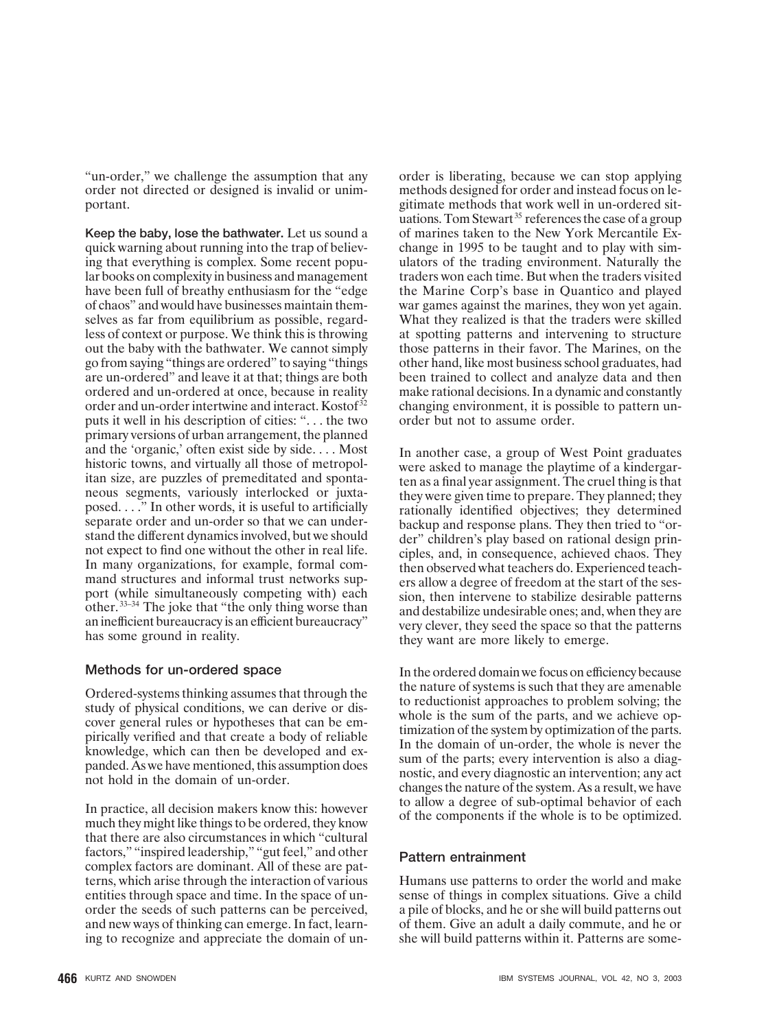"un-order," we challenge the assumption that any order not directed or designed is invalid or unimportant.

**Keep the baby, lose the bathwater.** Let us sound a quick warning about running into the trap of believing that everything is complex. Some recent popular books on complexity in business and management have been full of breathy enthusiasm for the "edge of chaos" and would have businesses maintain themselves as far from equilibrium as possible, regardless of context or purpose. We think this is throwing out the baby with the bathwater. We cannot simply go from saying "things are ordered" to saying "things are un-ordered" and leave it at that; things are both ordered and un-ordered at once, because in reality order and un-order intertwine and interact. Kostof<sup>32</sup> puts it well in his description of cities: ". . . the two primary versions of urban arrangement, the planned and the 'organic,' often exist side by side. . . . Most historic towns, and virtually all those of metropolitan size, are puzzles of premeditated and spontaneous segments, variously interlocked or juxtaposed...." In other words, it is useful to artificially separate order and un-order so that we can understand the different dynamics involved, but we should not expect to find one without the other in real life. In many organizations, for example, formal command structures and informal trust networks support (while simultaneously competing with) each other. 33–34 The joke that "the only thing worse than an inefficient bureaucracy is an efficient bureaucracy" has some ground in reality.

## **Methods for un-ordered space**

Ordered-systems thinking assumes that through the study of physical conditions, we can derive or discover general rules or hypotheses that can be empirically verified and that create a body of reliable knowledge, which can then be developed and expanded. As we have mentioned, this assumption does not hold in the domain of un-order.

In practice, all decision makers know this: however much they might like things to be ordered, they know that there are also circumstances in which "cultural factors," "inspired leadership," "gut feel," and other complex factors are dominant. All of these are patterns, which arise through the interaction of various entities through space and time. In the space of unorder the seeds of such patterns can be perceived, and new ways of thinking can emerge. In fact, learning to recognize and appreciate the domain of unorder is liberating, because we can stop applying methods designed for order and instead focus on legitimate methods that work well in un-ordered situations. Tom Stewart<sup>35</sup> references the case of a group of marines taken to the New York Mercantile Exchange in 1995 to be taught and to play with simulators of the trading environment. Naturally the traders won each time. But when the traders visited the Marine Corp's base in Quantico and played war games against the marines, they won yet again. What they realized is that the traders were skilled at spotting patterns and intervening to structure those patterns in their favor. The Marines, on the other hand, like most business school graduates, had been trained to collect and analyze data and then make rational decisions. In a dynamic and constantly changing environment, it is possible to pattern unorder but not to assume order.

In another case, a group of West Point graduates were asked to manage the playtime of a kindergarten as a final year assignment. The cruel thing is that they were given time to prepare. They planned; they rationally identified objectives; they determined backup and response plans. They then tried to "order" children's play based on rational design principles, and, in consequence, achieved chaos. They then observed what teachers do. Experienced teachers allow a degree of freedom at the start of the session, then intervene to stabilize desirable patterns and destabilize undesirable ones; and, when they are very clever, they seed the space so that the patterns they want are more likely to emerge.

In the ordered domain we focus on efficiency because the nature of systems is such that they are amenable to reductionist approaches to problem solving; the whole is the sum of the parts, and we achieve optimization of the system by optimization of the parts. In the domain of un-order, the whole is never the sum of the parts; every intervention is also a diagnostic, and every diagnostic an intervention; any act changes the nature of the system. As a result, we have to allow a degree of sub-optimal behavior of each of the components if the whole is to be optimized.

## **Pattern entrainment**

Humans use patterns to order the world and make sense of things in complex situations. Give a child a pile of blocks, and he or she will build patterns out of them. Give an adult a daily commute, and he or she will build patterns within it. Patterns are some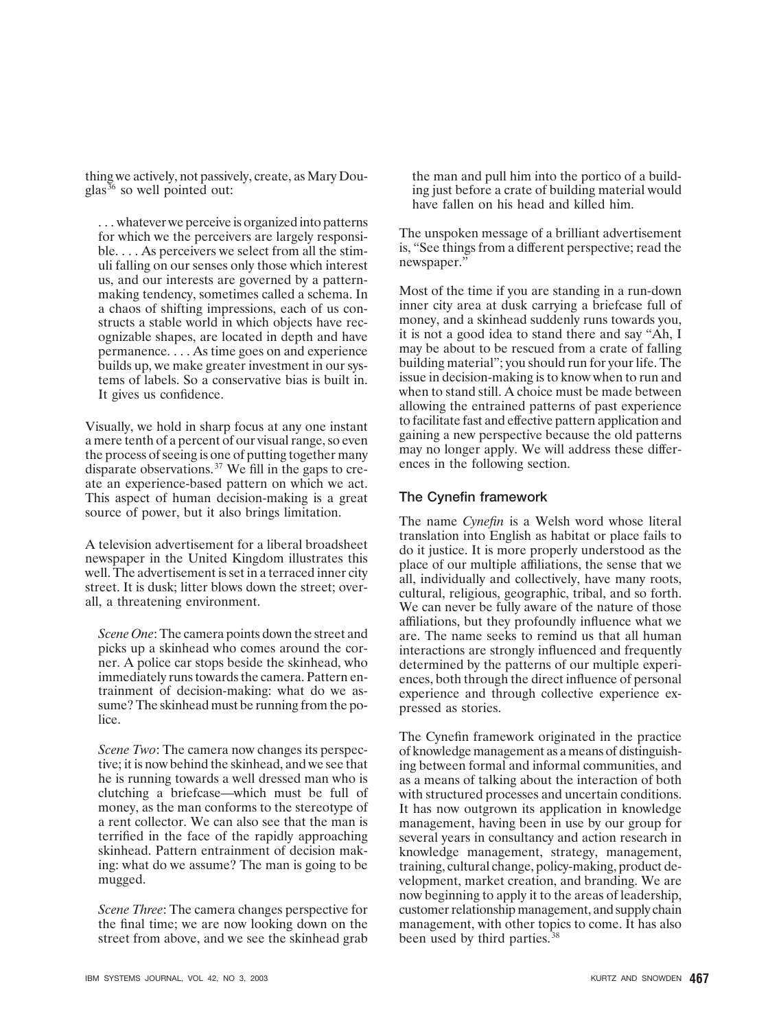thing we actively, not passively, create, as Mary Douglas $36$  so well pointed out:

... whatever we perceive is organized into patterns for which we the perceivers are largely responsible. . . . As perceivers we select from all the stimuli falling on our senses only those which interest us, and our interests are governed by a patternmaking tendency, sometimes called a schema. In a chaos of shifting impressions, each of us constructs a stable world in which objects have recognizable shapes, are located in depth and have permanence. . . . As time goes on and experience builds up, we make greater investment in our systems of labels. So a conservative bias is built in. It gives us confidence.

Visually, we hold in sharp focus at any one instant a mere tenth of a percent of our visual range, so even the process of seeing is one of putting together many disparate observations. <sup>37</sup> We fill in the gaps to create an experience-based pattern on which we act. This aspect of human decision-making is a great source of power, but it also brings limitation.

A television advertisement for a liberal broadsheet newspaper in the United Kingdom illustrates this well. The advertisement is set in a terraced inner city street. It is dusk; litter blows down the street; overall, a threatening environment.

*Scene One*: The camera points down the street and picks up a skinhead who comes around the corner. A police car stops beside the skinhead, who immediately runs towards the camera. Pattern entrainment of decision-making: what do we assume? The skinhead must be running from the police.

*Scene Two*: The camera now changes its perspective; it is now behind the skinhead, and we see that he is running towards a well dressed man who is clutching a briefcase—which must be full of money, as the man conforms to the stereotype of a rent collector. We can also see that the man is terrified in the face of the rapidly approaching skinhead. Pattern entrainment of decision making: what do we assume? The man is going to be mugged.

*Scene Three*: The camera changes perspective for the final time; we are now looking down on the street from above, and we see the skinhead grab

the man and pull him into the portico of a building just before a crate of building material would have fallen on his head and killed him.

The unspoken message of a brilliant advertisement is, "See things from a different perspective; read the newspaper."

Most of the time if you are standing in a run-down inner city area at dusk carrying a briefcase full of money, and a skinhead suddenly runs towards you, it is not a good idea to stand there and say "Ah, I may be about to be rescued from a crate of falling building material"; you should run for your life. The issue in decision-making is to know when to run and when to stand still. A choice must be made between allowing the entrained patterns of past experience to facilitate fast and effective pattern application and gaining a new perspective because the old patterns may no longer apply. We will address these differences in the following section.

## **The Cynefin framework**

The name *Cynefin* is a Welsh word whose literal translation into English as habitat or place fails to do it justice. It is more properly understood as the place of our multiple affiliations, the sense that we all, individually and collectively, have many roots, cultural, religious, geographic, tribal, and so forth. We can never be fully aware of the nature of those affiliations, but they profoundly influence what we are. The name seeks to remind us that all human interactions are strongly influenced and frequently determined by the patterns of our multiple experiences, both through the direct influence of personal experience and through collective experience expressed as stories.

The Cynefin framework originated in the practice of knowledge management as a means of distinguishing between formal and informal communities, and as a means of talking about the interaction of both with structured processes and uncertain conditions. It has now outgrown its application in knowledge management, having been in use by our group for several years in consultancy and action research in knowledge management, strategy, management, training, cultural change, policy-making, product development, market creation, and branding. We are now beginning to apply it to the areas of leadership, customer relationship management, and supply chain management, with other topics to come. It has also been used by third parties.<sup>38</sup>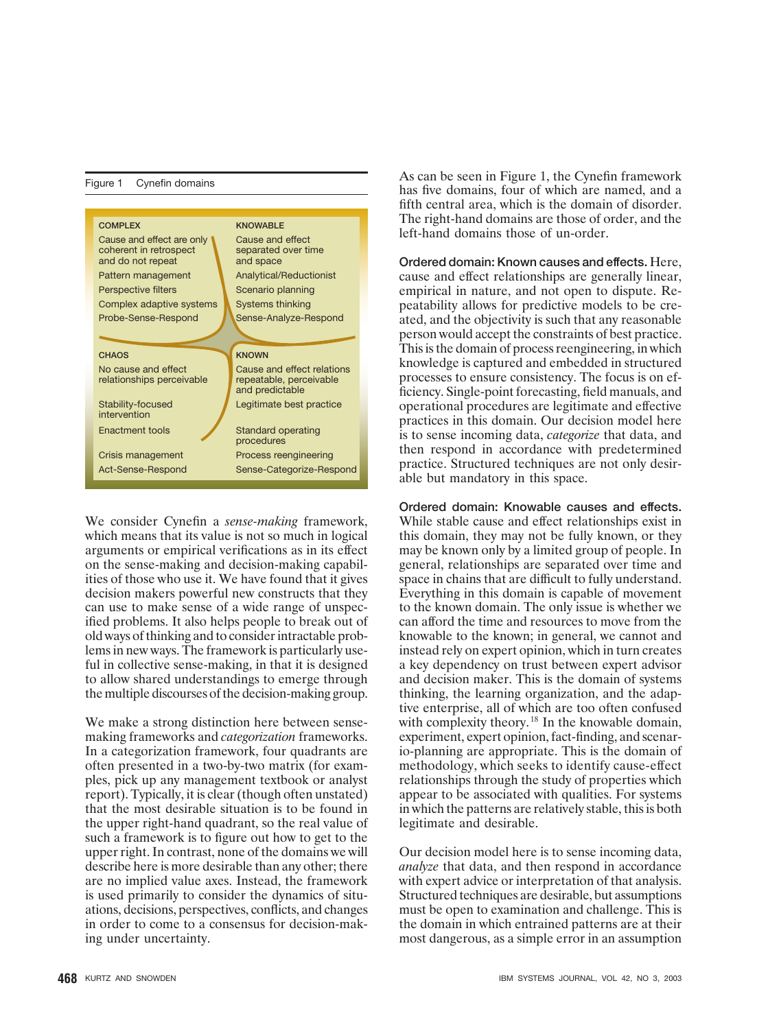

We consider Cynefin a *sense-making* framework, which means that its value is not so much in logical arguments or empirical verifications as in its effect on the sense-making and decision-making capabilities of those who use it. We have found that it gives decision makers powerful new constructs that they can use to make sense of a wide range of unspecified problems. It also helps people to break out of old ways of thinking and to consider intractable problems in new ways. The framework is particularly useful in collective sense-making, in that it is designed to allow shared understandings to emerge through the multiple discourses of the decision-making group.

We make a strong distinction here between sensemaking frameworks and *categorization* frameworks. In a categorization framework, four quadrants are often presented in a two-by-two matrix (for examples, pick up any management textbook or analyst report). Typically, it is clear (though often unstated) that the most desirable situation is to be found in the upper right-hand quadrant, so the real value of such a framework is to figure out how to get to the upper right. In contrast, none of the domains we will describe here is more desirable than any other; there are no implied value axes. Instead, the framework is used primarily to consider the dynamics of situations, decisions, perspectives, conflicts, and changes in order to come to a consensus for decision-making under uncertainty.

As can be seen in Figure 1, the Cynefin framework has five domains, four of which are named, and a fifth central area, which is the domain of disorder. The right-hand domains are those of order, and the left-hand domains those of un-order.

**Ordered domain: Known causes and effects.** Here, cause and effect relationships are generally linear, empirical in nature, and not open to dispute. Repeatability allows for predictive models to be created, and the objectivity is such that any reasonable person would accept the constraints of best practice. This is the domain of process reengineering, in which knowledge is captured and embedded in structured processes to ensure consistency. The focus is on efficiency. Single-point forecasting, field manuals, and operational procedures are legitimate and effective practices in this domain. Our decision model here is to sense incoming data, *categorize* that data, and then respond in accordance with predetermined practice. Structured techniques are not only desirable but mandatory in this space.

**Ordered domain: Knowable causes and effects.** While stable cause and effect relationships exist in this domain, they may not be fully known, or they may be known only by a limited group of people. In general, relationships are separated over time and space in chains that are difficult to fully understand. Everything in this domain is capable of movement to the known domain. The only issue is whether we can afford the time and resources to move from the knowable to the known; in general, we cannot and instead rely on expert opinion, which in turn creates a key dependency on trust between expert advisor and decision maker. This is the domain of systems thinking, the learning organization, and the adaptive enterprise, all of which are too often confused with complexity theory.<sup>18</sup> In the knowable domain, experiment, expert opinion, fact-finding, and scenario-planning are appropriate. This is the domain of methodology, which seeks to identify cause-effect relationships through the study of properties which appear to be associated with qualities. For systems in which the patterns are relatively stable, this is both legitimate and desirable.

Our decision model here is to sense incoming data, *analyze* that data, and then respond in accordance with expert advice or interpretation of that analysis. Structured techniques are desirable, but assumptions must be open to examination and challenge. This is the domain in which entrained patterns are at their most dangerous, as a simple error in an assumption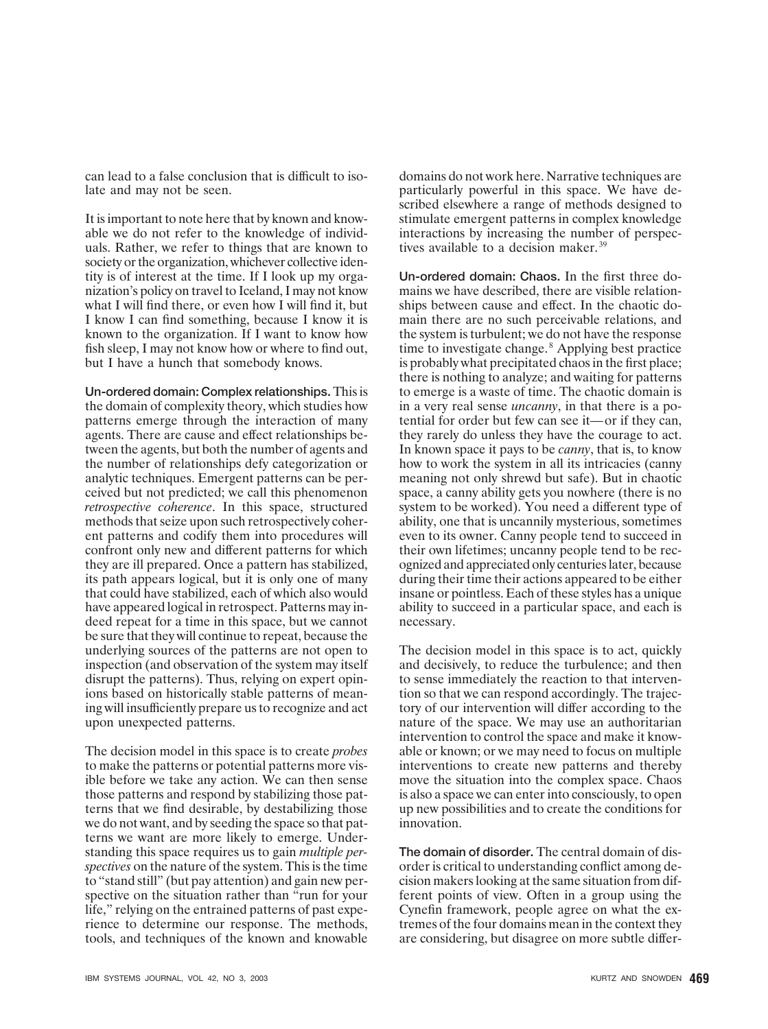can lead to a false conclusion that is difficult to isolate and may not be seen.

It is important to note here that by known and knowable we do not refer to the knowledge of individuals. Rather, we refer to things that are known to society or the organization, whichever collective identity is of interest at the time. If I look up my organization's policy on travel to Iceland, I may not know what I will find there, or even how I will find it, but I know I can find something, because I know it is known to the organization. If I want to know how fish sleep, I may not know how or where to find out, but I have a hunch that somebody knows.

**Un-ordered domain: Complex relationships.** This is the domain of complexity theory, which studies how patterns emerge through the interaction of many agents. There are cause and effect relationships between the agents, but both the number of agents and the number of relationships defy categorization or analytic techniques. Emergent patterns can be perceived but not predicted; we call this phenomenon *retrospective coherence*. In this space, structured methods that seize upon such retrospectively coherent patterns and codify them into procedures will confront only new and different patterns for which they are ill prepared. Once a pattern has stabilized, its path appears logical, but it is only one of many that could have stabilized, each of which also would have appeared logical in retrospect. Patterns may indeed repeat for a time in this space, but we cannot be sure that they will continue to repeat, because the underlying sources of the patterns are not open to inspection (and observation of the system may itself disrupt the patterns). Thus, relying on expert opinions based on historically stable patterns of meaning will insufficiently prepare us to recognize and act upon unexpected patterns.

The decision model in this space is to create *probes* to make the patterns or potential patterns more visible before we take any action. We can then sense those patterns and respond by stabilizing those patterns that we find desirable, by destabilizing those we do not want, and by seeding the space so that patterns we want are more likely to emerge. Understanding this space requires us to gain *multiple perspectives* on the nature of the system. This is the time to "stand still" (but pay attention) and gain new perspective on the situation rather than "run for your life," relying on the entrained patterns of past experience to determine our response. The methods, tools, and techniques of the known and knowable domains do not work here. Narrative techniques are particularly powerful in this space. We have described elsewhere a range of methods designed to stimulate emergent patterns in complex knowledge interactions by increasing the number of perspectives available to a decision maker. <sup>39</sup>

**Un-ordered domain: Chaos.** In the first three domains we have described, there are visible relationships between cause and effect. In the chaotic domain there are no such perceivable relations, and the system is turbulent; we do not have the response time to investigate change. <sup>8</sup> Applying best practice is probably what precipitated chaos in the first place; there is nothing to analyze; and waiting for patterns to emerge is a waste of time. The chaotic domain is in a very real sense *uncanny*, in that there is a potential for order but few can see it—or if they can, they rarely do unless they have the courage to act. In known space it pays to be *canny*, that is, to know how to work the system in all its intricacies (canny meaning not only shrewd but safe). But in chaotic space, a canny ability gets you nowhere (there is no system to be worked). You need a different type of ability, one that is uncannily mysterious, sometimes even to its owner. Canny people tend to succeed in their own lifetimes; uncanny people tend to be recognized and appreciated only centuries later, because during their time their actions appeared to be either insane or pointless. Each of these styles has a unique ability to succeed in a particular space, and each is necessary.

The decision model in this space is to act, quickly and decisively, to reduce the turbulence; and then to sense immediately the reaction to that intervention so that we can respond accordingly. The trajectory of our intervention will differ according to the nature of the space. We may use an authoritarian intervention to control the space and make it knowable or known; or we may need to focus on multiple interventions to create new patterns and thereby move the situation into the complex space. Chaos is also a space we can enter into consciously, to open up new possibilities and to create the conditions for innovation.

**The domain of disorder.** The central domain of disorder is critical to understanding conflict among decision makers looking at the same situation from different points of view. Often in a group using the Cynefin framework, people agree on what the extremes of the four domains mean in the context they are considering, but disagree on more subtle differ-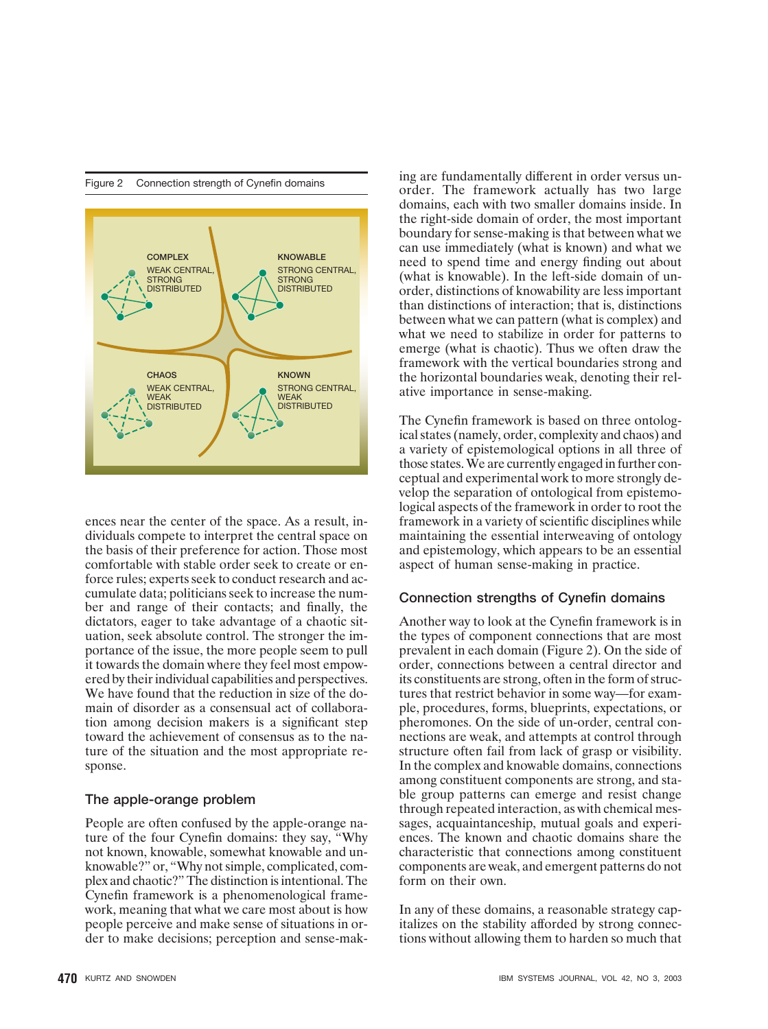

#### Figure 2 Connection strength of Cynefin domains

ences near the center of the space. As a result, individuals compete to interpret the central space on the basis of their preference for action. Those most comfortable with stable order seek to create or enforce rules; experts seek to conduct research and accumulate data; politicians seek to increase the number and range of their contacts; and finally, the dictators, eager to take advantage of a chaotic situation, seek absolute control. The stronger the importance of the issue, the more people seem to pull it towards the domain where they feel most empowered by their individual capabilities and perspectives. We have found that the reduction in size of the domain of disorder as a consensual act of collaboration among decision makers is a significant step toward the achievement of consensus as to the nature of the situation and the most appropriate response.

## **The apple-orange problem**

People are often confused by the apple-orange nature of the four Cynefin domains: they say, "Why not known, knowable, somewhat knowable and unknowable?" or, "Why not simple, complicated, complex and chaotic?"The distinction is intentional. The Cynefin framework is a phenomenological framework, meaning that what we care most about is how people perceive and make sense of situations in order to make decisions; perception and sense-making are fundamentally different in order versus unorder. The framework actually has two large domains, each with two smaller domains inside. In the right-side domain of order, the most important boundary for sense-making is that between what we can use immediately (what is known) and what we need to spend time and energy finding out about (what is knowable). In the left-side domain of unorder, distinctions of knowability are less important than distinctions of interaction; that is, distinctions between what we can pattern (what is complex) and what we need to stabilize in order for patterns to emerge (what is chaotic). Thus we often draw the framework with the vertical boundaries strong and the horizontal boundaries weak, denoting their relative importance in sense-making.

The Cynefin framework is based on three ontological states (namely, order, complexity and chaos) and a variety of epistemological options in all three of those states. We are currently engaged in further conceptual and experimental work to more strongly develop the separation of ontological from epistemological aspects of the framework in order to root the framework in a variety of scientific disciplines while maintaining the essential interweaving of ontology and epistemology, which appears to be an essential aspect of human sense-making in practice.

## **Connection strengths of Cynefin domains**

Another way to look at the Cynefin framework is in the types of component connections that are most prevalent in each domain (Figure 2). On the side of order, connections between a central director and its constituents are strong, often in the form of structures that restrict behavior in some way—for example, procedures, forms, blueprints, expectations, or pheromones. On the side of un-order, central connections are weak, and attempts at control through structure often fail from lack of grasp or visibility. In the complex and knowable domains, connections among constituent components are strong, and stable group patterns can emerge and resist change through repeated interaction, as with chemical messages, acquaintanceship, mutual goals and experiences. The known and chaotic domains share the characteristic that connections among constituent components are weak, and emergent patterns do not form on their own.

In any of these domains, a reasonable strategy capitalizes on the stability afforded by strong connections without allowing them to harden so much that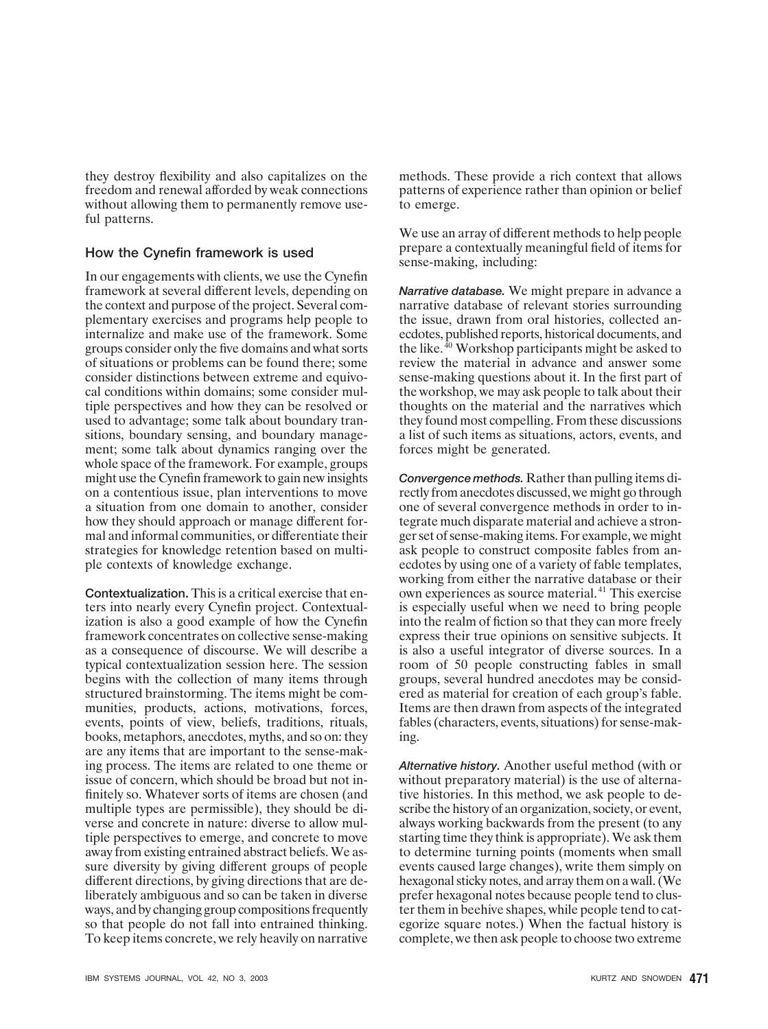they destroy flexibility and also capitalizes on the freedom and renewal afforded by weak connections without allowing them to permanently remove useful patterns.

#### **How the Cynefin framework is used**

In our engagements with clients, we use the Cynefin framework at several different levels, depending on the context and purpose of the project. Several complementary exercises and programs help people to internalize and make use of the framework. Some groups consider only the five domains and what sorts of situations or problems can be found there; some consider distinctions between extreme and equivocal conditions within domains; some consider multiple perspectives and how they can be resolved or used to advantage; some talk about boundary transitions, boundary sensing, and boundary management; some talk about dynamics ranging over the whole space of the framework. For example, groups might use the Cynefin framework to gain new insights on a contentious issue, plan interventions to move a situation from one domain to another, consider how they should approach or manage different formal and informal communities, or differentiate their strategies for knowledge retention based on multiple contexts of knowledge exchange.

**Contextualization.** This is a critical exercise that enters into nearly every Cynefin project. Contextualization is also a good example of how the Cynefin framework concentrates on collective sense-making as a consequence of discourse. We will describe a typical contextualization session here. The session begins with the collection of many items through structured brainstorming. The items might be communities, products, actions, motivations, forces, events, points of view, beliefs, traditions, rituals, books, metaphors, anecdotes, myths, and so on: they are any items that are important to the sense-making process. The items are related to one theme or issue of concern, which should be broad but not infinitely so. Whatever sorts of items are chosen (and multiple types are permissible), they should be diverse and concrete in nature: diverse to allow multiple perspectives to emerge, and concrete to move away from existing entrained abstract beliefs. We assure diversity by giving different groups of people different directions, by giving directions that are deliberately ambiguous and so can be taken in diverse ways, and by changing group compositions frequently so that people do not fall into entrained thinking. To keep items concrete, we rely heavily on narrative

methods. These provide a rich context that allows patterns of experience rather than opinion or belief to emerge.

We use an array of different methods to help people prepare a contextually meaningful field of items for sense-making, including:

*Narrative database.* We might prepare in advance a narrative database of relevant stories surrounding the issue, drawn from oral histories, collected anecdotes, published reports, historical documents, and the like.  $\frac{40}{40}$  Workshop participants might be asked to review the material in advance and answer some sense-making questions about it. In the first part of the workshop, we may ask people to talk about their thoughts on the material and the narratives which they found most compelling. From these discussions a list of such items as situations, actors, events, and forces might be generated.

*Convergence methods.* Rather than pulling items directly from anecdotes discussed, we might go through one of several convergence methods in order to integrate much disparate material and achieve a stronger set of sense-making items. For example, we might ask people to construct composite fables from anecdotes by using one of a variety of fable templates, working from either the narrative database or their own experiences as source material. <sup>41</sup> This exercise is especially useful when we need to bring people into the realm of fiction so that they can more freely express their true opinions on sensitive subjects. It is also a useful integrator of diverse sources. In a room of 50 people constructing fables in small groups, several hundred anecdotes may be considered as material for creation of each group's fable. Items are then drawn from aspects of the integrated fables (characters, events, situations) for sense-making.

*Alternative history.* Another useful method (with or without preparatory material) is the use of alternative histories. In this method, we ask people to describe the history of an organization, society, or event, always working backwards from the present (to any starting time they think is appropriate). We ask them to determine turning points (moments when small events caused large changes), write them simply on hexagonal sticky notes, and array them on a wall. (We prefer hexagonal notes because people tend to cluster them in beehive shapes, while people tend to categorize square notes.) When the factual history is complete, we then ask people to choose two extreme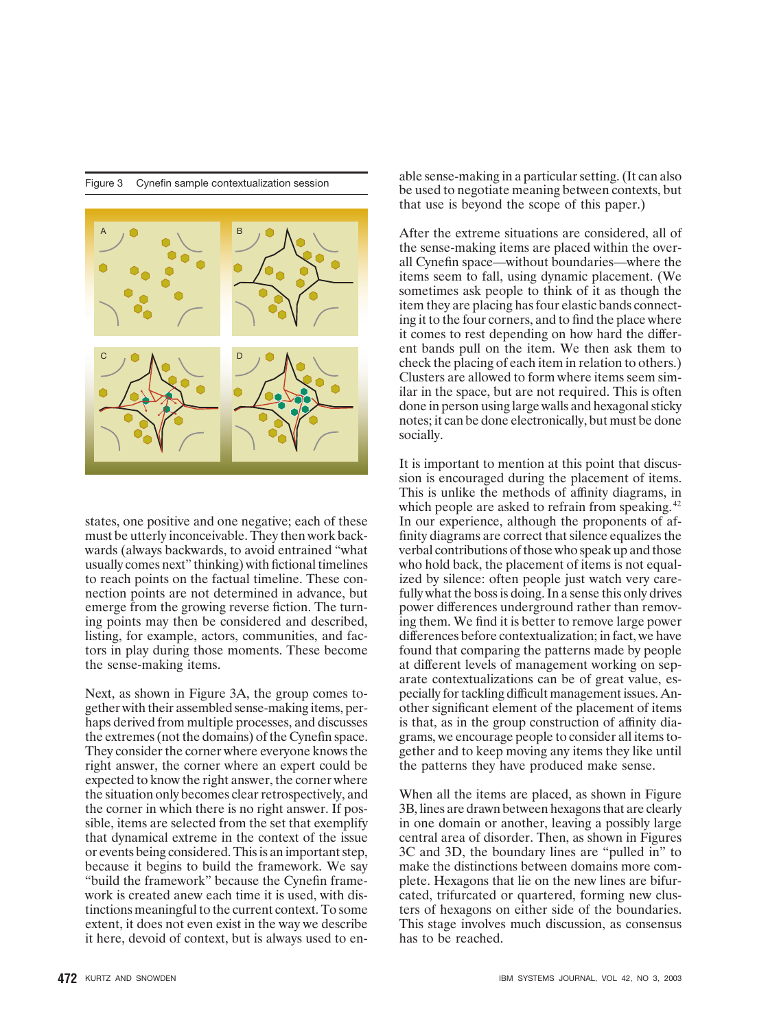



states, one positive and one negative; each of these must be utterly inconceivable. They then work backwards (always backwards, to avoid entrained "what usually comes next" thinking) with fictional timelines to reach points on the factual timeline. These connection points are not determined in advance, but emerge from the growing reverse fiction. The turning points may then be considered and described, listing, for example, actors, communities, and factors in play during those moments. These become the sense-making items.

Next, as shown in Figure 3A, the group comes together with their assembled sense-making items, perhaps derived from multiple processes, and discusses the extremes (not the domains) of the Cynefin space. They consider the corner where everyone knows the right answer, the corner where an expert could be expected to know the right answer, the corner where the situation only becomes clear retrospectively, and the corner in which there is no right answer. If possible, items are selected from the set that exemplify that dynamical extreme in the context of the issue or events being considered. This is an important step, because it begins to build the framework. We say "build the framework" because the Cynefin framework is created anew each time it is used, with distinctions meaningful to the current context. To some extent, it does not even exist in the way we describe it here, devoid of context, but is always used to enable sense-making in a particular setting. (It can also be used to negotiate meaning between contexts, but that use is beyond the scope of this paper.)

After the extreme situations are considered, all of the sense-making items are placed within the overall Cynefin space—without boundaries—where the items seem to fall, using dynamic placement. (We sometimes ask people to think of it as though the item they are placing has four elastic bands connecting it to the four corners, and to find the place where it comes to rest depending on how hard the different bands pull on the item. We then ask them to check the placing of each item in relation to others.) Clusters are allowed to form where items seem similar in the space, but are not required. This is often done in person using large walls and hexagonal sticky notes; it can be done electronically, but must be done socially.

It is important to mention at this point that discussion is encouraged during the placement of items. This is unlike the methods of affinity diagrams, in which people are asked to refrain from speaking.<sup>42</sup> In our experience, although the proponents of affinity diagrams are correct that silence equalizes the verbal contributions of those who speak up and those who hold back, the placement of items is not equalized by silence: often people just watch very carefully what the boss is doing. In a sense this only drives power differences underground rather than removing them. We find it is better to remove large power differences before contextualization; in fact, we have found that comparing the patterns made by people at different levels of management working on separate contextualizations can be of great value, especially for tackling difficult management issues. Another significant element of the placement of items is that, as in the group construction of affinity diagrams, we encourage people to consider all items together and to keep moving any items they like until the patterns they have produced make sense.

When all the items are placed, as shown in Figure 3B, lines are drawn between hexagons that are clearly in one domain or another, leaving a possibly large central area of disorder. Then, as shown in Figures 3C and 3D, the boundary lines are "pulled in" to make the distinctions between domains more complete. Hexagons that lie on the new lines are bifurcated, trifurcated or quartered, forming new clusters of hexagons on either side of the boundaries. This stage involves much discussion, as consensus has to be reached.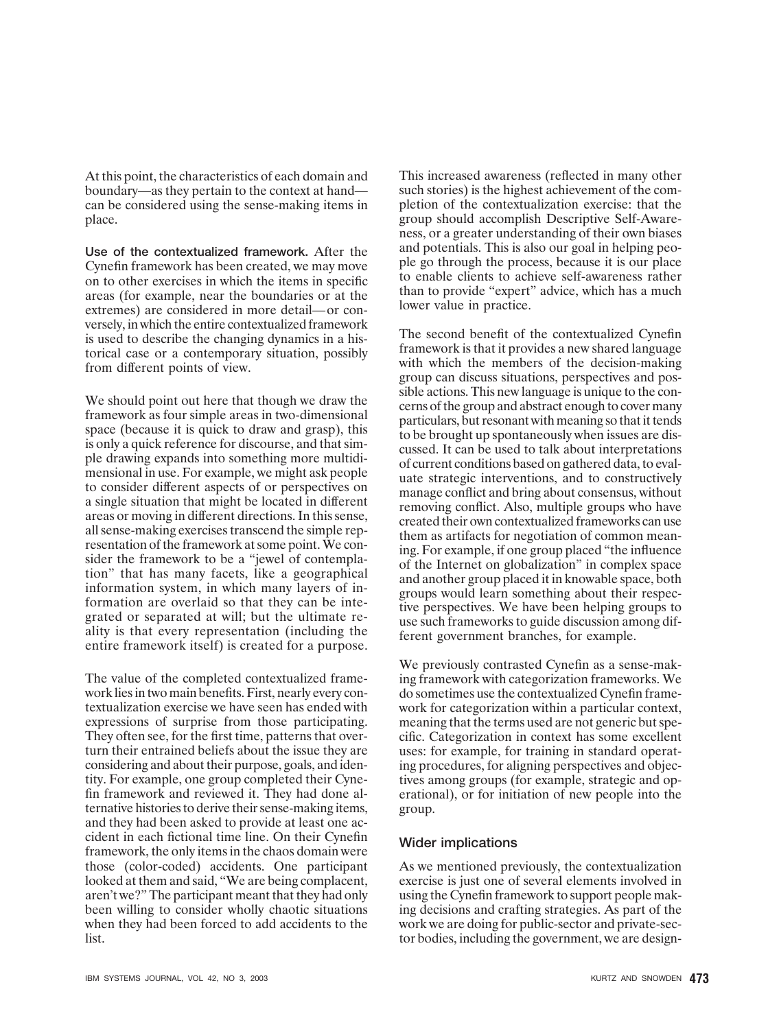At this point, the characteristics of each domain and boundary—as they pertain to the context at hand can be considered using the sense-making items in place.

**Use of the contextualized framework.** After the Cynefin framework has been created, we may move on to other exercises in which the items in specific areas (for example, near the boundaries or at the extremes) are considered in more detail—or conversely, in which the entire contextualized framework is used to describe the changing dynamics in a historical case or a contemporary situation, possibly from different points of view.

We should point out here that though we draw the framework as four simple areas in two-dimensional space (because it is quick to draw and grasp), this is only a quick reference for discourse, and that simple drawing expands into something more multidimensional in use. For example, we might ask people to consider different aspects of or perspectives on a single situation that might be located in different areas or moving in different directions. In this sense, all sense-making exercises transcend the simple representation of the framework at some point. We consider the framework to be a "jewel of contemplation" that has many facets, like a geographical information system, in which many layers of information are overlaid so that they can be integrated or separated at will; but the ultimate reality is that every representation (including the entire framework itself) is created for a purpose.

The value of the completed contextualized framework lies in two main benefits. First, nearly every contextualization exercise we have seen has ended with expressions of surprise from those participating. They often see, for the first time, patterns that overturn their entrained beliefs about the issue they are considering and about their purpose, goals, and identity. For example, one group completed their Cynefin framework and reviewed it. They had done alternative histories to derive their sense-making items, and they had been asked to provide at least one accident in each fictional time line. On their Cynefin framework, the only items in the chaos domain were those (color-coded) accidents. One participant looked at them and said, "We are being complacent, aren't we?"The participant meant that they had only been willing to consider wholly chaotic situations when they had been forced to add accidents to the list.

This increased awareness (reflected in many other such stories) is the highest achievement of the completion of the contextualization exercise: that the group should accomplish Descriptive Self-Awareness, or a greater understanding of their own biases and potentials. This is also our goal in helping people go through the process, because it is our place to enable clients to achieve self-awareness rather than to provide "expert" advice, which has a much lower value in practice.

The second benefit of the contextualized Cynefin framework is that it provides a new shared language with which the members of the decision-making group can discuss situations, perspectives and possible actions. This new language is unique to the concerns of the group and abstract enough to cover many particulars, but resonant with meaning so that it tends to be brought up spontaneously when issues are discussed. It can be used to talk about interpretations of current conditions based on gathered data, to evaluate strategic interventions, and to constructively manage conflict and bring about consensus, without removing conflict. Also, multiple groups who have created their own contextualized frameworks can use them as artifacts for negotiation of common meaning. For example, if one group placed "the influence of the Internet on globalization" in complex space and another group placed it in knowable space, both groups would learn something about their respective perspectives. We have been helping groups to use such frameworks to guide discussion among different government branches, for example.

We previously contrasted Cynefin as a sense-making framework with categorization frameworks. We do sometimes use the contextualized Cynefin framework for categorization within a particular context, meaning that the terms used are not generic but specific. Categorization in context has some excellent uses: for example, for training in standard operating procedures, for aligning perspectives and objectives among groups (for example, strategic and operational), or for initiation of new people into the group.

## **Wider implications**

As we mentioned previously, the contextualization exercise is just one of several elements involved in using the Cynefin framework to support people making decisions and crafting strategies. As part of the work we are doing for public-sector and private-sector bodies, including the government, we are design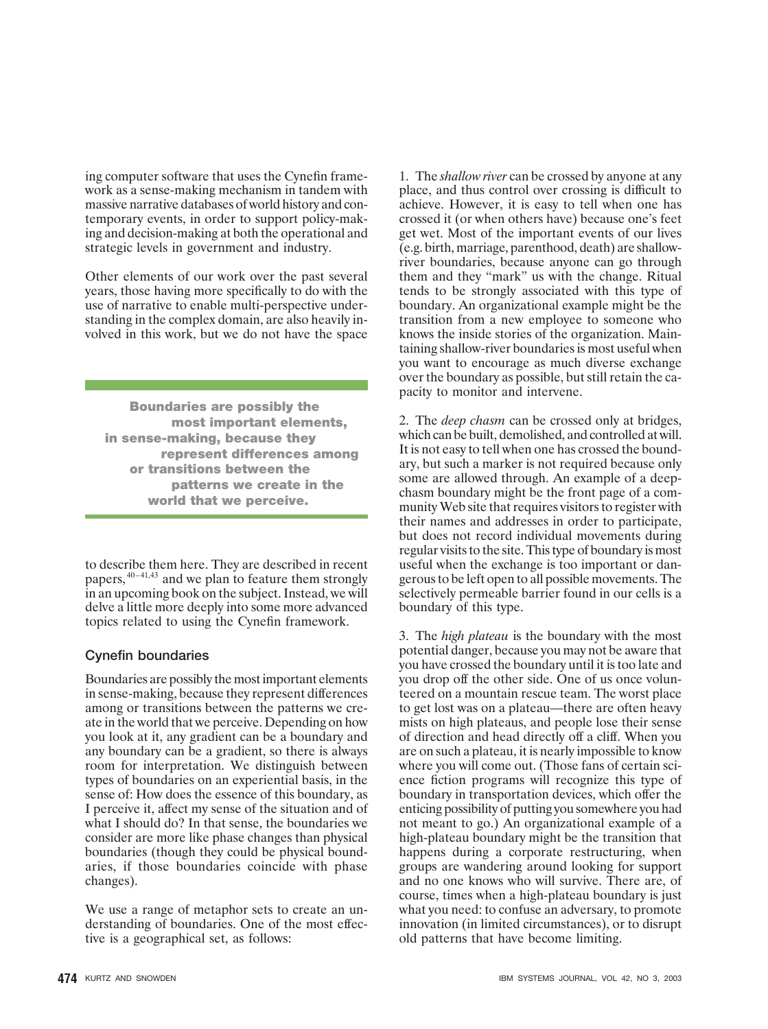ing computer software that uses the Cynefin framework as a sense-making mechanism in tandem with massive narrative databases of world history and contemporary events, in order to support policy-making and decision-making at both the operational and strategic levels in government and industry.

Other elements of our work over the past several years, those having more specifically to do with the use of narrative to enable multi-perspective understanding in the complex domain, are also heavily involved in this work, but we do not have the space

**Boundaries are possibly the most important elements, in sense-making, because they represent differences among or transitions between the patterns we create in the world that we perceive.**

to describe them here. They are described in recent papers, 40–41,43 and we plan to feature them strongly in an upcoming book on the subject. Instead, we will delve a little more deeply into some more advanced topics related to using the Cynefin framework.

## **Cynefin boundaries**

Boundaries are possibly the most important elements in sense-making, because they represent differences among or transitions between the patterns we create in the world that we perceive. Depending on how you look at it, any gradient can be a boundary and any boundary can be a gradient, so there is always room for interpretation. We distinguish between types of boundaries on an experiential basis, in the sense of: How does the essence of this boundary, as I perceive it, affect my sense of the situation and of what I should do? In that sense, the boundaries we consider are more like phase changes than physical boundaries (though they could be physical boundaries, if those boundaries coincide with phase changes).

We use a range of metaphor sets to create an understanding of boundaries. One of the most effective is a geographical set, as follows:

1. The *shallow river* can be crossed by anyone at any place, and thus control over crossing is difficult to achieve. However, it is easy to tell when one has crossed it (or when others have) because one's feet get wet. Most of the important events of our lives (e.g. birth, marriage, parenthood, death) are shallowriver boundaries, because anyone can go through them and they "mark" us with the change. Ritual tends to be strongly associated with this type of boundary. An organizational example might be the transition from a new employee to someone who knows the inside stories of the organization. Maintaining shallow-river boundaries is most useful when you want to encourage as much diverse exchange over the boundary as possible, but still retain the capacity to monitor and intervene.

2. The *deep chasm* can be crossed only at bridges, which can be built, demolished, and controlled at will. It is not easy to tell when one has crossed the boundary, but such a marker is not required because only some are allowed through. An example of a deepchasm boundary might be the front page of a community Web site that requires visitors to register with their names and addresses in order to participate, but does not record individual movements during regular visits to the site. This type of boundary is most useful when the exchange is too important or dangerous to be left open to all possible movements. The selectively permeable barrier found in our cells is a boundary of this type.

3. The *high plateau* is the boundary with the most potential danger, because you may not be aware that you have crossed the boundary until it is too late and you drop off the other side. One of us once volunteered on a mountain rescue team. The worst place to get lost was on a plateau—there are often heavy mists on high plateaus, and people lose their sense of direction and head directly off a cliff. When you are on such a plateau, it is nearly impossible to know where you will come out. (Those fans of certain science fiction programs will recognize this type of boundary in transportation devices, which offer the enticing possibility of putting you somewhere you had not meant to go.) An organizational example of a high-plateau boundary might be the transition that happens during a corporate restructuring, when groups are wandering around looking for support and no one knows who will survive. There are, of course, times when a high-plateau boundary is just what you need: to confuse an adversary, to promote innovation (in limited circumstances), or to disrupt old patterns that have become limiting.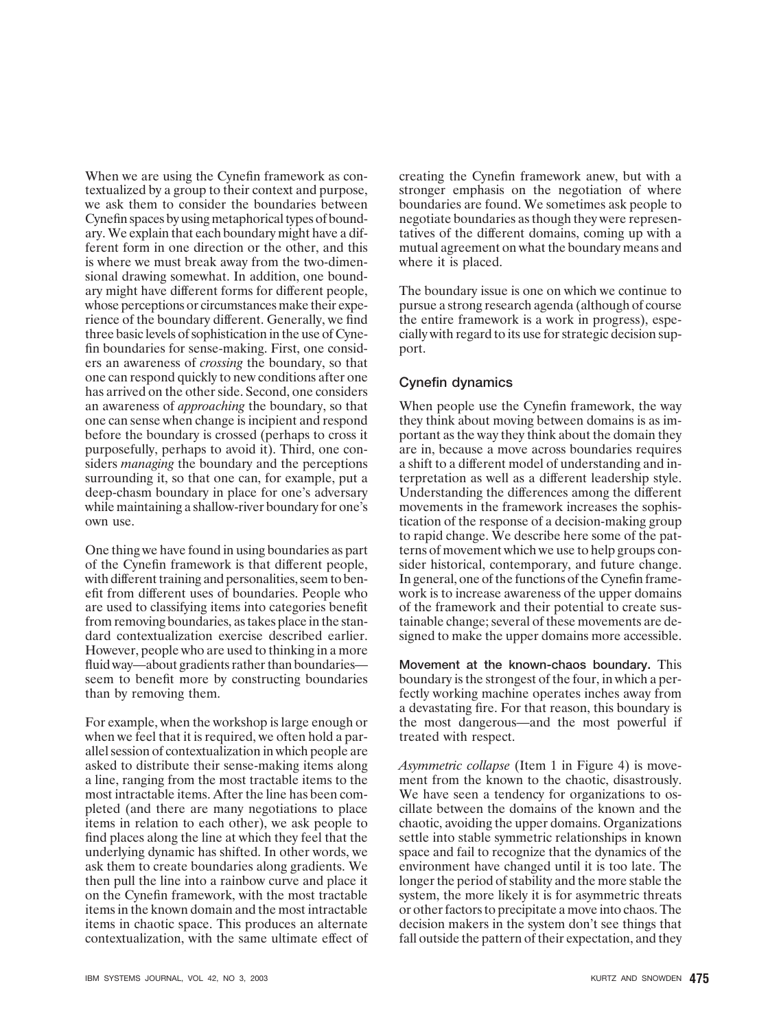When we are using the Cynefin framework as contextualized by a group to their context and purpose, we ask them to consider the boundaries between Cynefin spaces by using metaphorical types of boundary. We explain that each boundary might have a different form in one direction or the other, and this is where we must break away from the two-dimensional drawing somewhat. In addition, one boundary might have different forms for different people, whose perceptions or circumstances make their experience of the boundary different. Generally, we find three basic levels of sophistication in the use of Cynefin boundaries for sense-making. First, one considers an awareness of *crossing* the boundary, so that one can respond quickly to new conditions after one has arrived on the other side. Second, one considers an awareness of *approaching* the boundary, so that one can sense when change is incipient and respond before the boundary is crossed (perhaps to cross it purposefully, perhaps to avoid it). Third, one considers *managing* the boundary and the perceptions surrounding it, so that one can, for example, put a deep-chasm boundary in place for one's adversary while maintaining a shallow-river boundary for one's own use.

One thing we have found in using boundaries as part of the Cynefin framework is that different people, with different training and personalities, seem to benefit from different uses of boundaries. People who are used to classifying items into categories benefit from removing boundaries, as takes place in the standard contextualization exercise described earlier. However, people who are used to thinking in a more fluid way—about gradients rather than boundaries seem to benefit more by constructing boundaries than by removing them.

For example, when the workshop is large enough or when we feel that it is required, we often hold a parallel session of contextualization in which people are asked to distribute their sense-making items along a line, ranging from the most tractable items to the most intractable items. After the line has been completed (and there are many negotiations to place items in relation to each other), we ask people to find places along the line at which they feel that the underlying dynamic has shifted. In other words, we ask them to create boundaries along gradients. We then pull the line into a rainbow curve and place it on the Cynefin framework, with the most tractable items in the known domain and the most intractable items in chaotic space. This produces an alternate contextualization, with the same ultimate effect of

creating the Cynefin framework anew, but with a stronger emphasis on the negotiation of where boundaries are found. We sometimes ask people to negotiate boundaries as though they were representatives of the different domains, coming up with a mutual agreement on what the boundary means and where it is placed.

The boundary issue is one on which we continue to pursue a strong research agenda (although of course the entire framework is a work in progress), especially with regard to its use for strategic decision support.

## **Cynefin dynamics**

When people use the Cynefin framework, the way they think about moving between domains is as important as the way they think about the domain they are in, because a move across boundaries requires a shift to a different model of understanding and interpretation as well as a different leadership style. Understanding the differences among the different movements in the framework increases the sophistication of the response of a decision-making group to rapid change. We describe here some of the patterns of movement which we use to help groups consider historical, contemporary, and future change. In general, one of the functions of the Cynefin framework is to increase awareness of the upper domains of the framework and their potential to create sustainable change; several of these movements are designed to make the upper domains more accessible.

**Movement at the known-chaos boundary.** This boundary is the strongest of the four, in which a perfectly working machine operates inches away from a devastating fire. For that reason, this boundary is the most dangerous—and the most powerful if treated with respect.

*Asymmetric collapse* (Item 1 in Figure 4) is movement from the known to the chaotic, disastrously. We have seen a tendency for organizations to oscillate between the domains of the known and the chaotic, avoiding the upper domains. Organizations settle into stable symmetric relationships in known space and fail to recognize that the dynamics of the environment have changed until it is too late. The longer the period of stability and the more stable the system, the more likely it is for asymmetric threats or other factors to precipitate a move into chaos. The decision makers in the system don't see things that fall outside the pattern of their expectation, and they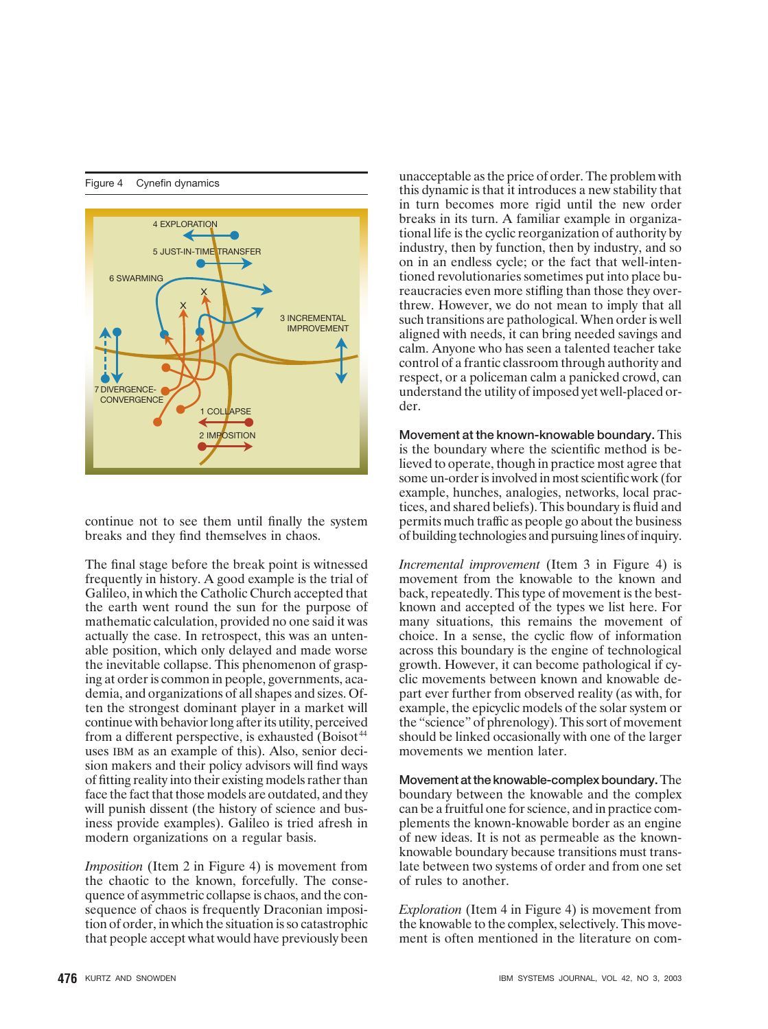

Figure 4 Cynefin dynamics

continue not to see them until finally the system breaks and they find themselves in chaos.

The final stage before the break point is witnessed frequently in history. A good example is the trial of Galileo, in which the Catholic Church accepted that the earth went round the sun for the purpose of mathematic calculation, provided no one said it was actually the case. In retrospect, this was an untenable position, which only delayed and made worse the inevitable collapse. This phenomenon of grasping at order is common in people, governments, academia, and organizations of all shapes and sizes. Often the strongest dominant player in a market will continue with behavior long after its utility, perceived from a different perspective, is exhausted (Boisot <sup>44</sup> uses IBM as an example of this). Also, senior decision makers and their policy advisors will find ways of fitting reality into their existing models rather than face the fact that those models are outdated, and they will punish dissent (the history of science and business provide examples). Galileo is tried afresh in modern organizations on a regular basis.

*Imposition* (Item 2 in Figure 4) is movement from the chaotic to the known, forcefully. The consequence of asymmetric collapse is chaos, and the consequence of chaos is frequently Draconian imposition of order, in which the situation is so catastrophic that people accept what would have previously been

unacceptable as the price of order. The problem with this dynamic is that it introduces a new stability that in turn becomes more rigid until the new order breaks in its turn. A familiar example in organizational life is the cyclic reorganization of authority by industry, then by function, then by industry, and so on in an endless cycle; or the fact that well-intentioned revolutionaries sometimes put into place bureaucracies even more stifling than those they overthrew. However, we do not mean to imply that all such transitions are pathological. When order is well aligned with needs, it can bring needed savings and calm. Anyone who has seen a talented teacher take control of a frantic classroom through authority and respect, or a policeman calm a panicked crowd, can understand the utility of imposed yet well-placed order.

**Movement at the known-knowable boundary.** This is the boundary where the scientific method is believed to operate, though in practice most agree that some un-order is involved in most scientific work (for example, hunches, analogies, networks, local practices, and shared beliefs). This boundary is fluid and permits much traffic as people go about the business of building technologies and pursuing lines of inquiry.

*Incremental improvement* (Item 3 in Figure 4) is movement from the knowable to the known and back, repeatedly. This type of movement is the bestknown and accepted of the types we list here. For many situations, this remains the movement of choice. In a sense, the cyclic flow of information across this boundary is the engine of technological growth. However, it can become pathological if cyclic movements between known and knowable depart ever further from observed reality (as with, for example, the epicyclic models of the solar system or the "science" of phrenology). This sort of movement should be linked occasionally with one of the larger movements we mention later.

**Movement at the knowable-complex boundary.**The boundary between the knowable and the complex can be a fruitful one for science, and in practice complements the known-knowable border as an engine of new ideas. It is not as permeable as the knownknowable boundary because transitions must translate between two systems of order and from one set of rules to another.

*Exploration* (Item 4 in Figure 4) is movement from the knowable to the complex, selectively. This movement is often mentioned in the literature on com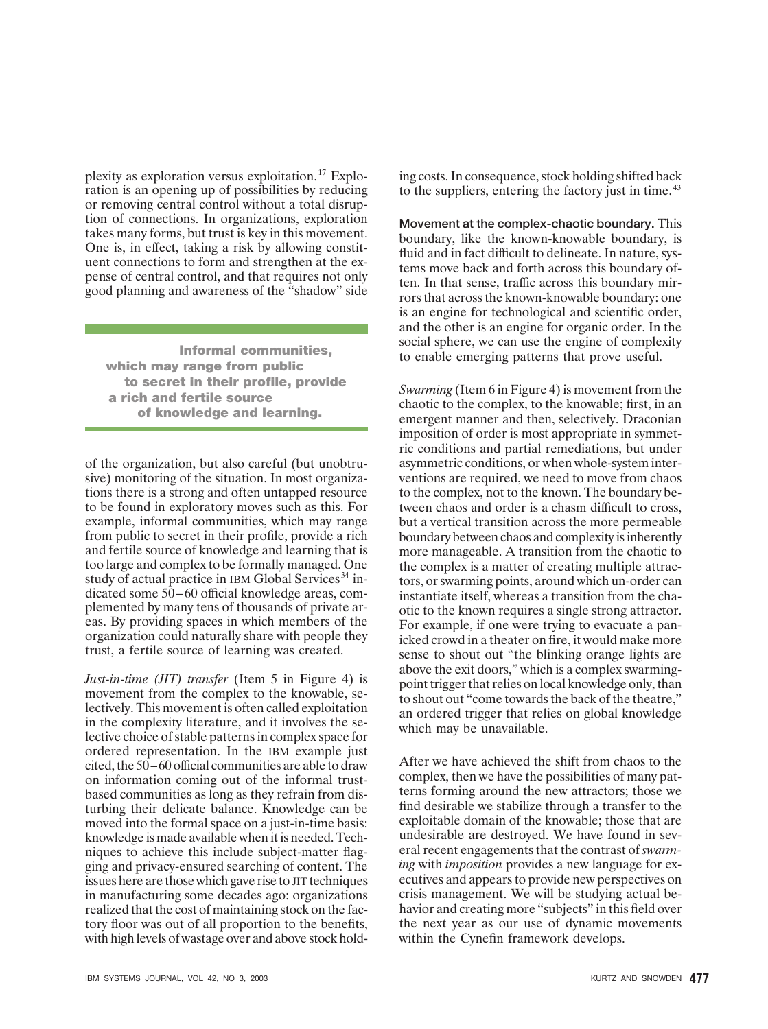plexity as exploration versus exploitation. <sup>17</sup> Exploration is an opening up of possibilities by reducing or removing central control without a total disruption of connections. In organizations, exploration takes many forms, but trust is key in this movement. One is, in effect, taking a risk by allowing constituent connections to form and strengthen at the expense of central control, and that requires not only good planning and awareness of the "shadow" side

**Informal communities, which may range from public to secret in their profile, provide a rich and fertile source of knowledge and learning.**

of the organization, but also careful (but unobtrusive) monitoring of the situation. In most organizations there is a strong and often untapped resource to be found in exploratory moves such as this. For example, informal communities, which may range from public to secret in their profile, provide a rich and fertile source of knowledge and learning that is too large and complex to be formally managed. One study of actual practice in IBM Global Services<sup>34</sup> indicated some 50–60 official knowledge areas, complemented by many tens of thousands of private areas. By providing spaces in which members of the organization could naturally share with people they trust, a fertile source of learning was created.

*Just-in-time (JIT) transfer* (Item 5 in Figure 4) is movement from the complex to the knowable, selectively. This movement is often called exploitation in the complexity literature, and it involves the selective choice of stable patterns in complex space for ordered representation. In the IBM example just cited, the 50–60 official communities are able to draw on information coming out of the informal trustbased communities as long as they refrain from disturbing their delicate balance. Knowledge can be moved into the formal space on a just-in-time basis: knowledge is made available when it is needed. Techniques to achieve this include subject-matter flagging and privacy-ensured searching of content. The issues here are those which gave rise to JIT techniques in manufacturing some decades ago: organizations realized that the cost of maintaining stock on the factory floor was out of all proportion to the benefits, with high levels of wastage over and above stock holding costs. In consequence, stock holding shifted back to the suppliers, entering the factory just in time. <sup>43</sup>

**Movement at the complex-chaotic boundary.** This boundary, like the known-knowable boundary, is fluid and in fact difficult to delineate. In nature, systems move back and forth across this boundary often. In that sense, traffic across this boundary mirrors that across the known-knowable boundary: one is an engine for technological and scientific order, and the other is an engine for organic order. In the social sphere, we can use the engine of complexity to enable emerging patterns that prove useful.

*Swarming* (Item 6 in Figure 4) is movement from the chaotic to the complex, to the knowable; first, in an emergent manner and then, selectively. Draconian imposition of order is most appropriate in symmetric conditions and partial remediations, but under asymmetric conditions, or when whole-system interventions are required, we need to move from chaos to the complex, not to the known. The boundary between chaos and order is a chasm difficult to cross, but a vertical transition across the more permeable boundary between chaos and complexity is inherently more manageable. A transition from the chaotic to the complex is a matter of creating multiple attractors, or swarming points, around which un-order can instantiate itself, whereas a transition from the chaotic to the known requires a single strong attractor. For example, if one were trying to evacuate a panicked crowd in a theater on fire, it would make more sense to shout out "the blinking orange lights are above the exit doors," which is a complex swarmingpoint trigger that relies on local knowledge only, than to shout out "come towards the back of the theatre," an ordered trigger that relies on global knowledge which may be unavailable.

After we have achieved the shift from chaos to the complex, then we have the possibilities of many patterns forming around the new attractors; those we find desirable we stabilize through a transfer to the exploitable domain of the knowable; those that are undesirable are destroyed. We have found in several recent engagements that the contrast of*swarming* with *imposition* provides a new language for executives and appears to provide new perspectives on crisis management. We will be studying actual behavior and creating more "subjects" in this field over the next year as our use of dynamic movements within the Cynefin framework develops.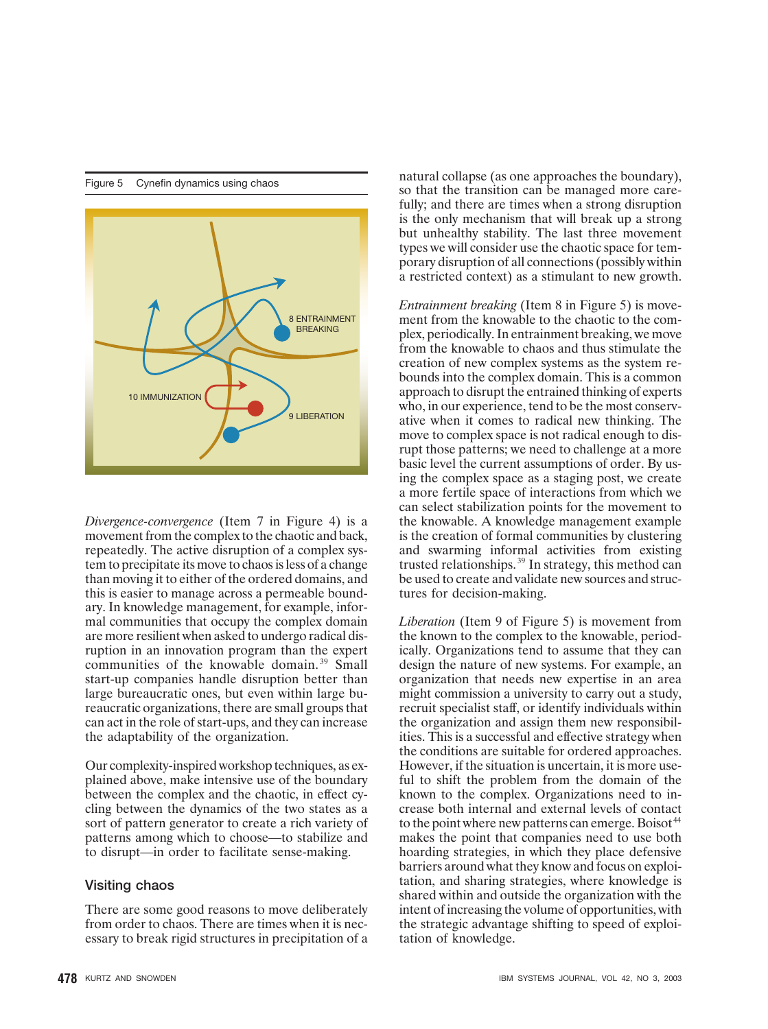

Figure 5 Cynefin dynamics using chaos

*Divergence-convergence* (Item 7 in Figure 4) is a movement from the complex to the chaotic and back, repeatedly. The active disruption of a complex system to precipitate its move to chaos is less of a change than moving it to either of the ordered domains, and this is easier to manage across a permeable boundary. In knowledge management, for example, informal communities that occupy the complex domain are more resilient when asked to undergo radical disruption in an innovation program than the expert communities of the knowable domain.<sup>39</sup> Small start-up companies handle disruption better than large bureaucratic ones, but even within large bureaucratic organizations, there are small groups that can act in the role of start-ups, and they can increase the adaptability of the organization.

Our complexity-inspired workshop techniques, as explained above, make intensive use of the boundary between the complex and the chaotic, in effect cycling between the dynamics of the two states as a sort of pattern generator to create a rich variety of patterns among which to choose—to stabilize and to disrupt—in order to facilitate sense-making.

#### **Visiting chaos**

There are some good reasons to move deliberately from order to chaos. There are times when it is necessary to break rigid structures in precipitation of a natural collapse (as one approaches the boundary), so that the transition can be managed more carefully; and there are times when a strong disruption is the only mechanism that will break up a strong but unhealthy stability. The last three movement types we will consider use the chaotic space for temporary disruption of all connections (possibly within a restricted context) as a stimulant to new growth.

*Entrainment breaking* (Item 8 in Figure 5) is movement from the knowable to the chaotic to the complex, periodically. In entrainment breaking, we move from the knowable to chaos and thus stimulate the creation of new complex systems as the system rebounds into the complex domain. This is a common approach to disrupt the entrained thinking of experts who, in our experience, tend to be the most conservative when it comes to radical new thinking. The move to complex space is not radical enough to disrupt those patterns; we need to challenge at a more basic level the current assumptions of order. By using the complex space as a staging post, we create a more fertile space of interactions from which we can select stabilization points for the movement to the knowable. A knowledge management example is the creation of formal communities by clustering and swarming informal activities from existing trusted relationships. <sup>39</sup> In strategy, this method can be used to create and validate new sources and structures for decision-making.

*Liberation* (Item 9 of Figure 5) is movement from the known to the complex to the knowable, periodically. Organizations tend to assume that they can design the nature of new systems. For example, an organization that needs new expertise in an area might commission a university to carry out a study, recruit specialist staff, or identify individuals within the organization and assign them new responsibilities. This is a successful and effective strategy when the conditions are suitable for ordered approaches. However, if the situation is uncertain, it is more useful to shift the problem from the domain of the known to the complex. Organizations need to increase both internal and external levels of contact to the point where new patterns can emerge. Boisot<sup>44</sup> makes the point that companies need to use both hoarding strategies, in which they place defensive barriers around what they know and focus on exploitation, and sharing strategies, where knowledge is shared within and outside the organization with the intent of increasing the volume of opportunities, with the strategic advantage shifting to speed of exploitation of knowledge.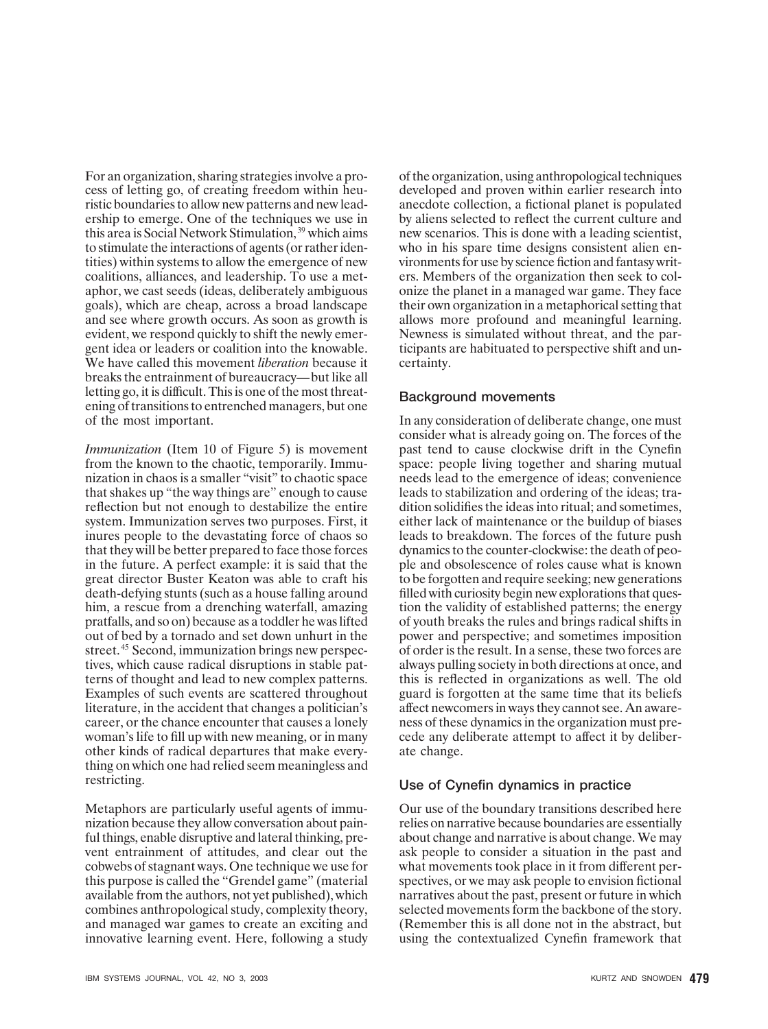For an organization, sharing strategies involve a process of letting go, of creating freedom within heuristic boundaries to allow new patterns and new leadership to emerge. One of the techniques we use in this area is Social Network Stimulation, <sup>39</sup> which aims to stimulate the interactions of agents (or rather identities) within systems to allow the emergence of new coalitions, alliances, and leadership. To use a metaphor, we cast seeds (ideas, deliberately ambiguous goals), which are cheap, across a broad landscape and see where growth occurs. As soon as growth is evident, we respond quickly to shift the newly emergent idea or leaders or coalition into the knowable. We have called this movement *liberation* because it breaks the entrainment of bureaucracy—but like all letting go, it is difficult. This is one of the most threatening of transitions to entrenched managers, but one of the most important.

*Immunization* (Item 10 of Figure 5) is movement from the known to the chaotic, temporarily. Immunization in chaos is a smaller "visit" to chaotic space that shakes up "the way things are" enough to cause reflection but not enough to destabilize the entire system. Immunization serves two purposes. First, it inures people to the devastating force of chaos so that they will be better prepared to face those forces in the future. A perfect example: it is said that the great director Buster Keaton was able to craft his death-defying stunts (such as a house falling around him, a rescue from a drenching waterfall, amazing pratfalls, and so on) because as a toddler he was lifted out of bed by a tornado and set down unhurt in the street. <sup>45</sup> Second, immunization brings new perspectives, which cause radical disruptions in stable patterns of thought and lead to new complex patterns. Examples of such events are scattered throughout literature, in the accident that changes a politician's career, or the chance encounter that causes a lonely woman's life to fill up with new meaning, or in many other kinds of radical departures that make everything on which one had relied seem meaningless and restricting.

Metaphors are particularly useful agents of immunization because they allow conversation about painful things, enable disruptive and lateral thinking, prevent entrainment of attitudes, and clear out the cobwebs of stagnant ways. One technique we use for this purpose is called the "Grendel game" (material available from the authors, not yet published), which combines anthropological study, complexity theory, and managed war games to create an exciting and innovative learning event. Here, following a study of the organization, using anthropological techniques developed and proven within earlier research into anecdote collection, a fictional planet is populated by aliens selected to reflect the current culture and new scenarios. This is done with a leading scientist, who in his spare time designs consistent alien environments for use by science fiction and fantasy writers. Members of the organization then seek to colonize the planet in a managed war game. They face their own organization in a metaphorical setting that allows more profound and meaningful learning. Newness is simulated without threat, and the participants are habituated to perspective shift and uncertainty.

#### **Background movements**

In any consideration of deliberate change, one must consider what is already going on. The forces of the past tend to cause clockwise drift in the Cynefin space: people living together and sharing mutual needs lead to the emergence of ideas; convenience leads to stabilization and ordering of the ideas; tradition solidifies the ideas into ritual; and sometimes, either lack of maintenance or the buildup of biases leads to breakdown. The forces of the future push dynamics to the counter-clockwise: the death of people and obsolescence of roles cause what is known to be forgotten and require seeking; new generations filled with curiosity begin new explorations that question the validity of established patterns; the energy of youth breaks the rules and brings radical shifts in power and perspective; and sometimes imposition of order is the result. In a sense, these two forces are always pulling society in both directions at once, and this is reflected in organizations as well. The old guard is forgotten at the same time that its beliefs affect newcomers in ways they cannot see. An awareness of these dynamics in the organization must precede any deliberate attempt to affect it by deliberate change.

## **Use of Cynefin dynamics in practice**

Our use of the boundary transitions described here relies on narrative because boundaries are essentially about change and narrative is about change. We may ask people to consider a situation in the past and what movements took place in it from different perspectives, or we may ask people to envision fictional narratives about the past, present or future in which selected movements form the backbone of the story. (Remember this is all done not in the abstract, but using the contextualized Cynefin framework that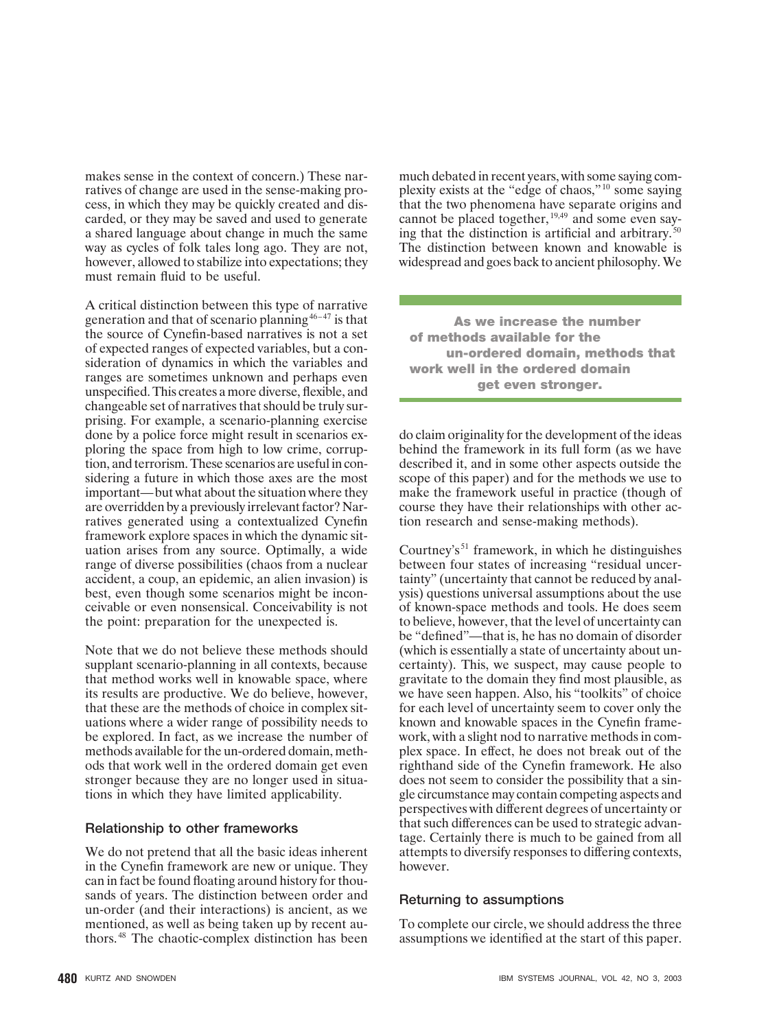makes sense in the context of concern.) These narratives of change are used in the sense-making process, in which they may be quickly created and discarded, or they may be saved and used to generate a shared language about change in much the same way as cycles of folk tales long ago. They are not, however, allowed to stabilize into expectations; they must remain fluid to be useful.

A critical distinction between this type of narrative generation and that of scenario planning  $46-47$  is that the source of Cynefin-based narratives is not a set of expected ranges of expected variables, but a consideration of dynamics in which the variables and ranges are sometimes unknown and perhaps even unspecified. This creates a more diverse, flexible, and changeable set of narratives that should be truly surprising. For example, a scenario-planning exercise done by a police force might result in scenarios exploring the space from high to low crime, corruption, and terrorism. These scenarios are useful in considering a future in which those axes are the most important—but what about the situation where they are overridden by a previously irrelevant factor? Narratives generated using a contextualized Cynefin framework explore spaces in which the dynamic situation arises from any source. Optimally, a wide range of diverse possibilities (chaos from a nuclear accident, a coup, an epidemic, an alien invasion) is best, even though some scenarios might be inconceivable or even nonsensical. Conceivability is not the point: preparation for the unexpected is.

Note that we do not believe these methods should supplant scenario-planning in all contexts, because that method works well in knowable space, where its results are productive. We do believe, however, that these are the methods of choice in complex situations where a wider range of possibility needs to be explored. In fact, as we increase the number of methods available for the un-ordered domain, methods that work well in the ordered domain get even stronger because they are no longer used in situations in which they have limited applicability.

## **Relationship to other frameworks**

We do not pretend that all the basic ideas inherent in the Cynefin framework are new or unique. They can in fact be found floating around history for thousands of years. The distinction between order and un-order (and their interactions) is ancient, as we mentioned, as well as being taken up by recent authors. <sup>48</sup> The chaotic-complex distinction has been much debated in recent years, with some saying complexity exists at the "edge of chaos," <sup>10</sup> some saying that the two phenomena have separate origins and cannot be placed together, <sup>19,49</sup> and some even saying that the distinction is artificial and arbitrary.<sup>50</sup> The distinction between known and knowable is widespread and goes back to ancient philosophy. We

**As we increase the number of methods available for the un-ordered domain, methods that work well in the ordered domain get even stronger.**

do claim originality for the development of the ideas behind the framework in its full form (as we have described it, and in some other aspects outside the scope of this paper) and for the methods we use to make the framework useful in practice (though of course they have their relationships with other action research and sense-making methods).

Courtney's<sup>51</sup> framework, in which he distinguishes between four states of increasing "residual uncertainty" (uncertainty that cannot be reduced by analysis) questions universal assumptions about the use of known-space methods and tools. He does seem to believe, however, that the level of uncertainty can be "defined"—that is, he has no domain of disorder (which is essentially a state of uncertainty about uncertainty). This, we suspect, may cause people to gravitate to the domain they find most plausible, as we have seen happen. Also, his "toolkits" of choice for each level of uncertainty seem to cover only the known and knowable spaces in the Cynefin framework, with a slight nod to narrative methods in complex space. In effect, he does not break out of the righthand side of the Cynefin framework. He also does not seem to consider the possibility that a single circumstance may contain competing aspects and perspectives with different degrees of uncertainty or that such differences can be used to strategic advantage. Certainly there is much to be gained from all attempts to diversify responses to differing contexts, however.

#### **Returning to assumptions**

To complete our circle, we should address the three assumptions we identified at the start of this paper.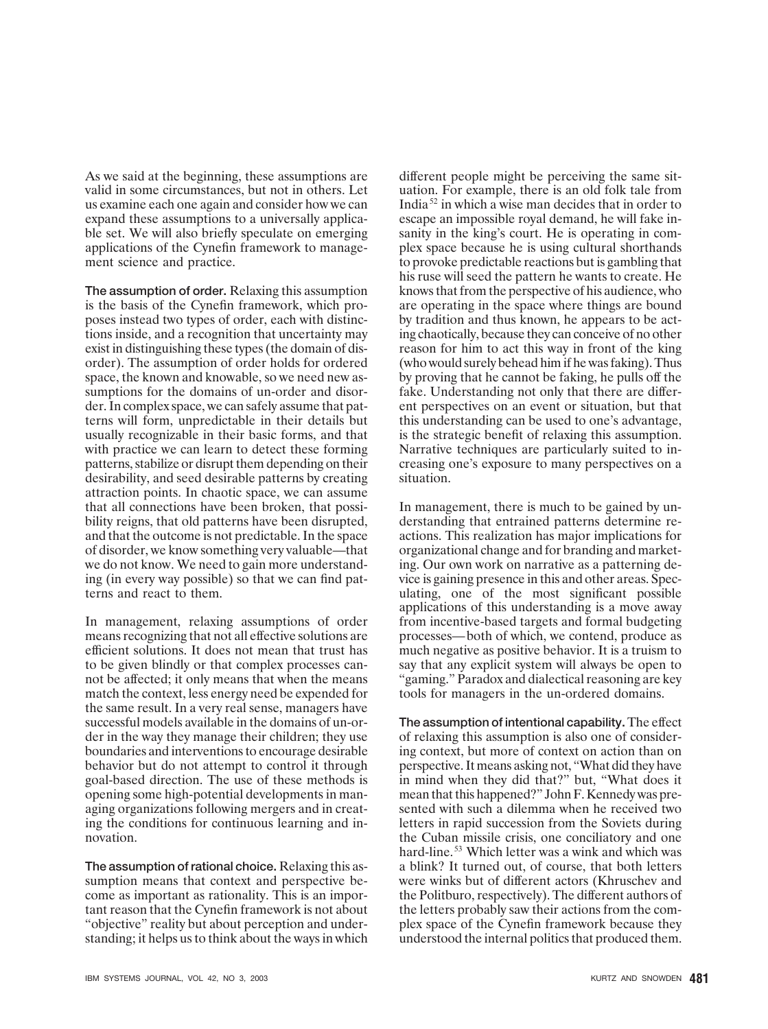As we said at the beginning, these assumptions are valid in some circumstances, but not in others. Let us examine each one again and consider how we can expand these assumptions to a universally applicable set. We will also briefly speculate on emerging applications of the Cynefin framework to management science and practice.

**The assumption of order.** Relaxing this assumption is the basis of the Cynefin framework, which proposes instead two types of order, each with distinctions inside, and a recognition that uncertainty may exist in distinguishing these types (the domain of disorder). The assumption of order holds for ordered space, the known and knowable, so we need new assumptions for the domains of un-order and disorder. In complex space, we can safely assume that patterns will form, unpredictable in their details but usually recognizable in their basic forms, and that with practice we can learn to detect these forming patterns, stabilize or disrupt them depending on their desirability, and seed desirable patterns by creating attraction points. In chaotic space, we can assume that all connections have been broken, that possibility reigns, that old patterns have been disrupted, and that the outcome is not predictable. In the space of disorder, we know something very valuable—that we do not know. We need to gain more understanding (in every way possible) so that we can find patterns and react to them.

In management, relaxing assumptions of order means recognizing that not all effective solutions are efficient solutions. It does not mean that trust has to be given blindly or that complex processes cannot be affected; it only means that when the means match the context, less energy need be expended for the same result. In a very real sense, managers have successful models available in the domains of un-order in the way they manage their children; they use boundaries and interventions to encourage desirable behavior but do not attempt to control it through goal-based direction. The use of these methods is opening some high-potential developments in managing organizations following mergers and in creating the conditions for continuous learning and innovation.

**The assumption of rational choice.** Relaxing this assumption means that context and perspective become as important as rationality. This is an important reason that the Cynefin framework is not about "objective" reality but about perception and understanding; it helps us to think about the ways in which different people might be perceiving the same situation. For example, there is an old folk tale from India<sup>52</sup> in which a wise man decides that in order to escape an impossible royal demand, he will fake insanity in the king's court. He is operating in complex space because he is using cultural shorthands to provoke predictable reactions but is gambling that his ruse will seed the pattern he wants to create. He knows that from the perspective of his audience, who are operating in the space where things are bound by tradition and thus known, he appears to be acting chaotically, because they can conceive of no other reason for him to act this way in front of the king (who would surely behead him if he was faking). Thus by proving that he cannot be faking, he pulls off the fake. Understanding not only that there are different perspectives on an event or situation, but that this understanding can be used to one's advantage, is the strategic benefit of relaxing this assumption. Narrative techniques are particularly suited to increasing one's exposure to many perspectives on a situation.

In management, there is much to be gained by understanding that entrained patterns determine reactions. This realization has major implications for organizational change and for branding and marketing. Our own work on narrative as a patterning device is gaining presence in this and other areas. Speculating, one of the most significant possible applications of this understanding is a move away from incentive-based targets and formal budgeting processes—both of which, we contend, produce as much negative as positive behavior. It is a truism to say that any explicit system will always be open to "gaming." Paradox and dialectical reasoning are key tools for managers in the un-ordered domains.

**The assumption of intentional capability.** The effect of relaxing this assumption is also one of considering context, but more of context on action than on perspective. It means asking not, "What did they have in mind when they did that?" but, "What does it mean that this happened?" John F. Kennedy was presented with such a dilemma when he received two letters in rapid succession from the Soviets during the Cuban missile crisis, one conciliatory and one hard-line.<sup>53</sup> Which letter was a wink and which was a blink? It turned out, of course, that both letters were winks but of different actors (Khruschev and the Politburo, respectively). The different authors of the letters probably saw their actions from the complex space of the Cynefin framework because they understood the internal politics that produced them.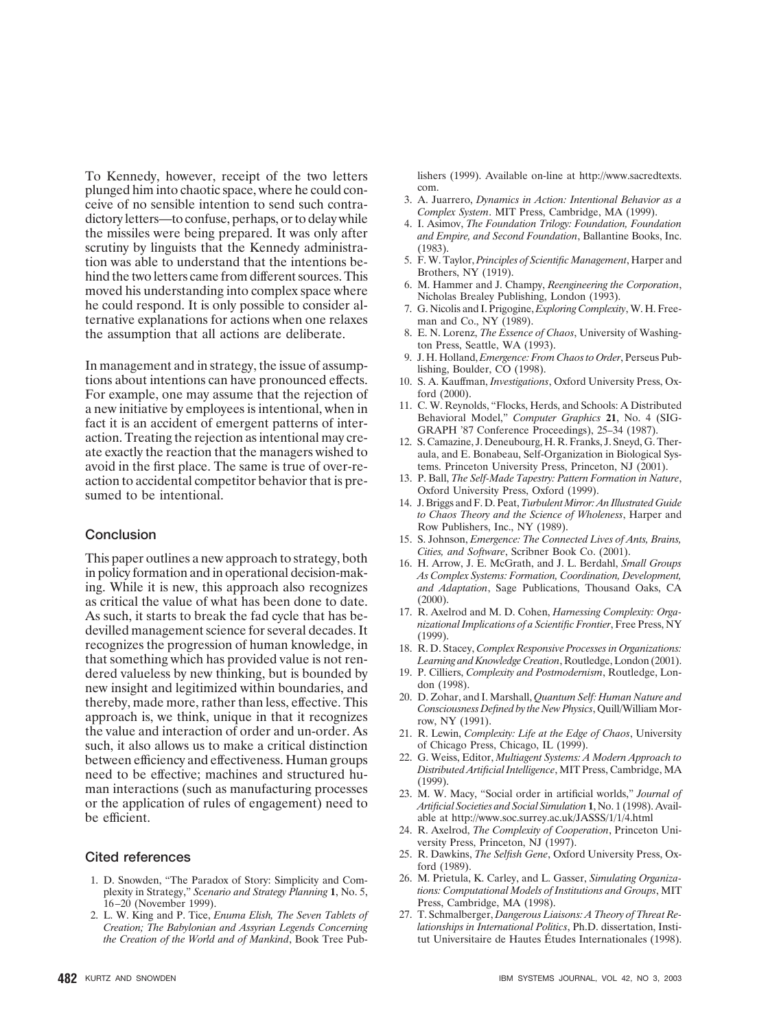To Kennedy, however, receipt of the two letters plunged him into chaotic space, where he could conceive of no sensible intention to send such contradictory letters—to confuse, perhaps, or to delay while the missiles were being prepared. It was only after scrutiny by linguists that the Kennedy administration was able to understand that the intentions behind the two letters came from different sources. This moved his understanding into complex space where he could respond. It is only possible to consider alternative explanations for actions when one relaxes the assumption that all actions are deliberate.

In management and in strategy, the issue of assumptions about intentions can have pronounced effects. For example, one may assume that the rejection of a new initiative by employees is intentional, when in fact it is an accident of emergent patterns of interaction. Treating the rejection as intentional may create exactly the reaction that the managers wished to avoid in the first place. The same is true of over-reaction to accidental competitor behavior that is presumed to be intentional.

#### **Conclusion**

This paper outlines a new approach to strategy, both in policy formation and in operational decision-making. While it is new, this approach also recognizes as critical the value of what has been done to date. As such, it starts to break the fad cycle that has bedevilled management science for several decades. It recognizes the progression of human knowledge, in that something which has provided value is not rendered valueless by new thinking, but is bounded by new insight and legitimized within boundaries, and thereby, made more, rather than less, effective. This approach is, we think, unique in that it recognizes the value and interaction of order and un-order. As such, it also allows us to make a critical distinction between efficiency and effectiveness. Human groups need to be effective; machines and structured human interactions (such as manufacturing processes or the application of rules of engagement) need to be efficient.

#### **Cited references**

- 1. D. Snowden, "The Paradox of Story: Simplicity and Complexity in Strategy," *Scenario and Strategy Planning* **1**, No. 5, 16–20 (November 1999).
- 2. L. W. King and P. Tice, *Enuma Elish, The Seven Tablets of Creation; The Babylonian and Assyrian Legends Concerning the Creation of the World and of Mankind*, Book Tree Pub-

lishers (1999). Available on-line at http://www.sacredtexts. com.

- 3. A. Juarrero, *Dynamics in Action: Intentional Behavior as a Complex System*. MIT Press, Cambridge, MA (1999).
- 4. I. Asimov, *The Foundation Trilogy: Foundation, Foundation and Empire, and Second Foundation*, Ballantine Books, Inc. (1983).
- 5. F. W. Taylor, *Principles of Scientific Management*, Harper and Brothers, NY (1919).
- 6. M. Hammer and J. Champy, *Reengineering the Corporation*, Nicholas Brealey Publishing, London (1993).
- 7. G. Nicolis and I. Prigogine,*Exploring Complexity*, W. H. Freeman and Co., NY (1989).
- 8. E. N. Lorenz, *The Essence of Chaos*, University of Washington Press, Seattle, WA (1993).
- 9. J. H. Holland, *Emergence: From Chaos to Order*, Perseus Publishing, Boulder, CO (1998).
- 10. S. A. Kauffman, *Investigations*, Oxford University Press, Oxford (2000).
- 11. C. W. Reynolds, "Flocks, Herds, and Schools: A Distributed Behavioral Model," *Computer Graphics* **21**, No. 4 (SIG-GRAPH '87 Conference Proceedings), 25–34 (1987).
- 12. S. Camazine, J. Deneubourg, H. R. Franks, J. Sneyd, G. Theraula, and E. Bonabeau, Self-Organization in Biological Systems. Princeton University Press, Princeton, NJ (2001).
- 13. P. Ball, *The Self-Made Tapestry: Pattern Formation in Nature*, Oxford University Press, Oxford (1999).
- 14. J. Briggs and F. D. Peat, *Turbulent Mirror: An Illustrated Guide to Chaos Theory and the Science of Wholeness*, Harper and Row Publishers, Inc., NY (1989).
- 15. S. Johnson, *Emergence: The Connected Lives of Ants, Brains, Cities, and Software*, Scribner Book Co. (2001).
- 16. H. Arrow, J. E. McGrath, and J. L. Berdahl, *Small Groups As Complex Systems: Formation, Coordination, Development, and Adaptation*, Sage Publications, Thousand Oaks, CA  $(2000)$ .
- 17. R. Axelrod and M. D. Cohen, *Harnessing Complexity: Organizational Implications of a Scientific Frontier*, Free Press, NY (1999).
- 18. R. D. Stacey, *Complex Responsive Processes in Organizations: Learning and Knowledge Creation*, Routledge, London (2001).
- 19. P. Cilliers, *Complexity and Postmodernism*, Routledge, London (1998).
- 20. D. Zohar, and I. Marshall, *Quantum Self: Human Nature and Consciousness Defined by the New Physics*, Quill/William Morrow, NY (1991).
- 21. R. Lewin, *Complexity: Life at the Edge of Chaos*, University of Chicago Press, Chicago, IL (1999).
- 22. G. Weiss, Editor, *Multiagent Systems: A Modern Approach to Distributed Artificial Intelligence*, MIT Press, Cambridge, MA (1999).
- 23. M. W. Macy, "Social order in artificial worlds," *Journal of Artificial Societies and Social Simulation* **1**, No. 1 (1998). Available at http://www.soc.surrey.ac.uk/JASSS/1/1/4.html
- 24. R. Axelrod, *The Complexity of Cooperation*, Princeton University Press, Princeton, NJ (1997).
- 25. R. Dawkins, *The Selfish Gene*, Oxford University Press, Oxford (1989).
- 26. M. Prietula, K. Carley, and L. Gasser, *Simulating Organizations: Computational Models of Institutions and Groups*, MIT Press, Cambridge, MA (1998).
- 27. T. Schmalberger, *Dangerous Liaisons: A Theory of Threat Relationships in International Politics*, Ph.D. dissertation, Institut Universitaire de Hautes Études Internationales (1998).